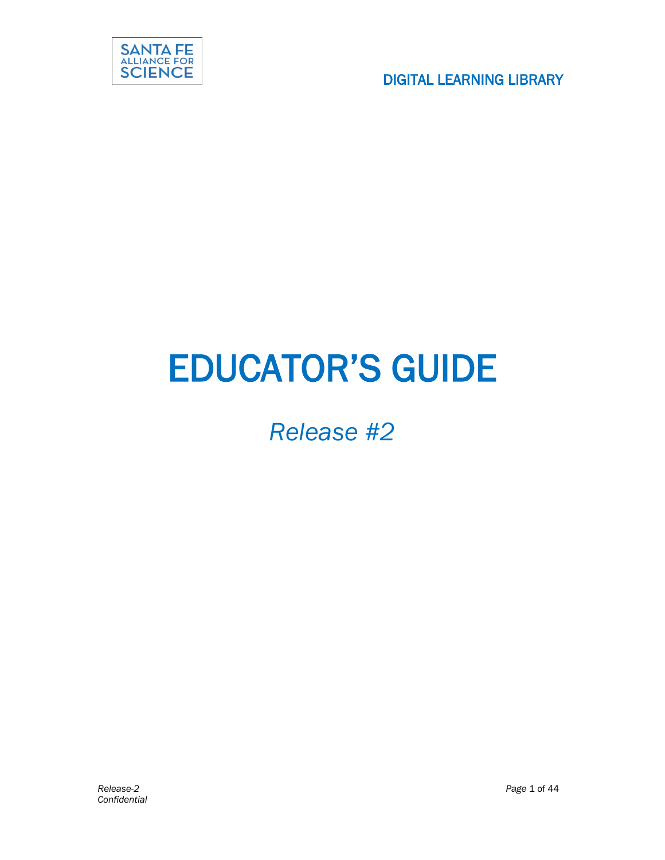

# EDUCATOR'S GUIDE

## *Release #2*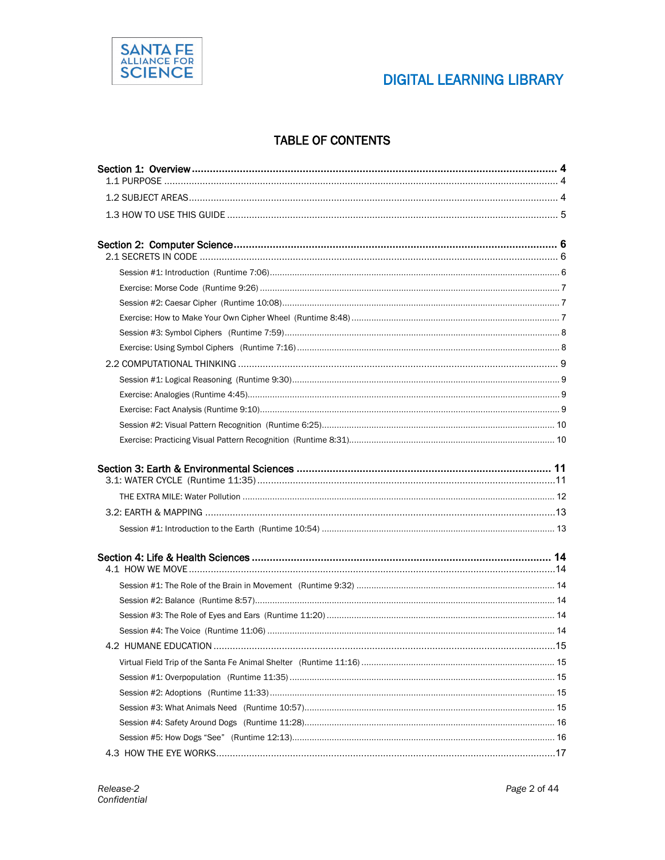

### **DIGITAL LEARNING LIBRARY**

#### **TABLE OF CONTENTS**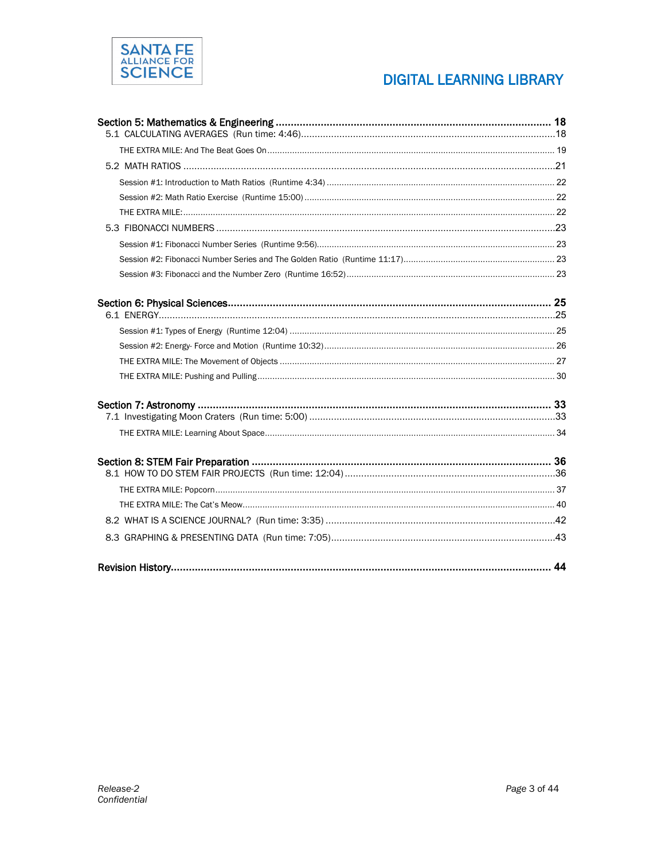

### **DIGITAL LEARNING LIBRARY**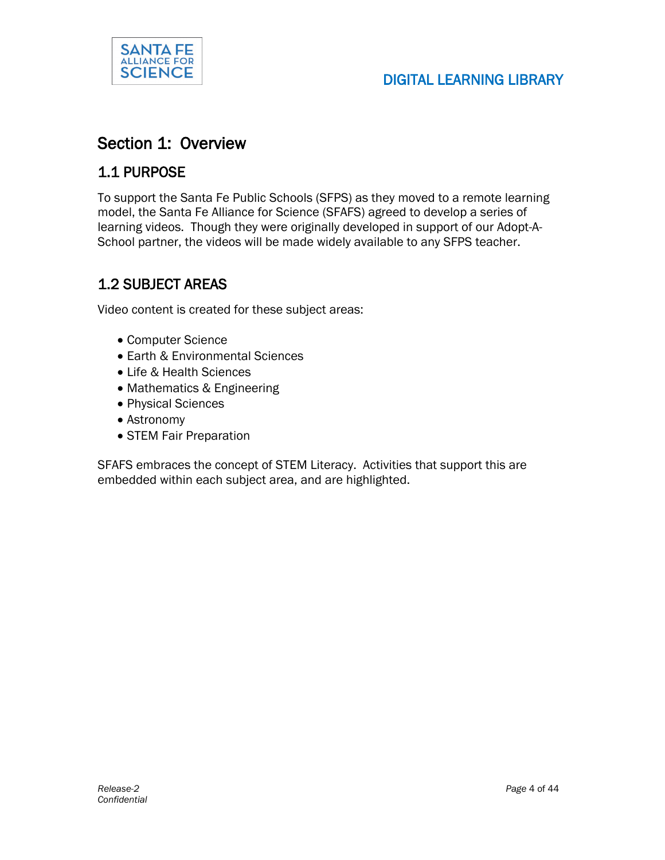

### Section 1: Overview

#### 1.1 PURPOSE

To support the Santa Fe Public Schools (SFPS) as they moved to a remote learning model, the Santa Fe Alliance for Science (SFAFS) agreed to develop a series of learning videos. Though they were originally developed in support of our Adopt-A-School partner, the videos will be made widely available to any SFPS teacher.

### 1.2 SUBJECT AREAS

Video content is created for these subject areas:

- Computer Science
- Earth & Environmental Sciences
- Life & Health Sciences
- Mathematics & Engineering
- Physical Sciences
- Astronomy
- STEM Fair Preparation

SFAFS embraces the concept of STEM Literacy. Activities that support this are embedded within each subject area, and are highlighted.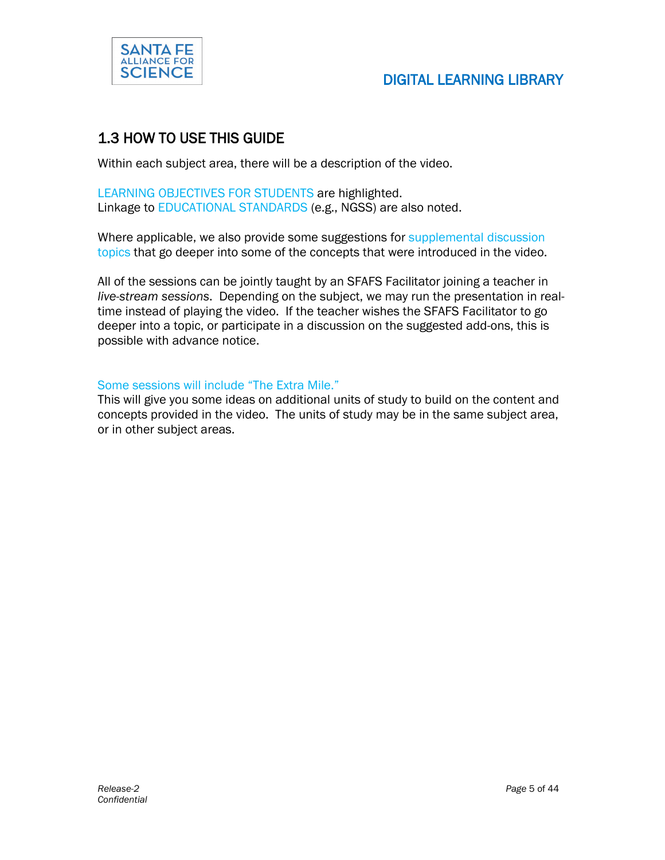

### 1.3 HOW TO USE THIS GUIDE

Within each subject area, there will be a description of the video.

LEARNING OBJECTIVES FOR STUDENTS are highlighted. Linkage to EDUCATIONAL STANDARDS (e.g., NGSS) are also noted.

Where applicable, we also provide some suggestions for supplemental discussion topics that go deeper into some of the concepts that were introduced in the video.

All of the sessions can be jointly taught by an SFAFS Facilitator joining a teacher in *live-stream sessions*. Depending on the subject, we may run the presentation in realtime instead of playing the video. If the teacher wishes the SFAFS Facilitator to go deeper into a topic, or participate in a discussion on the suggested add-ons, this is possible with advance notice.

#### Some sessions will include "The Extra Mile."

This will give you some ideas on additional units of study to build on the content and concepts provided in the video. The units of study may be in the same subject area, or in other subject areas.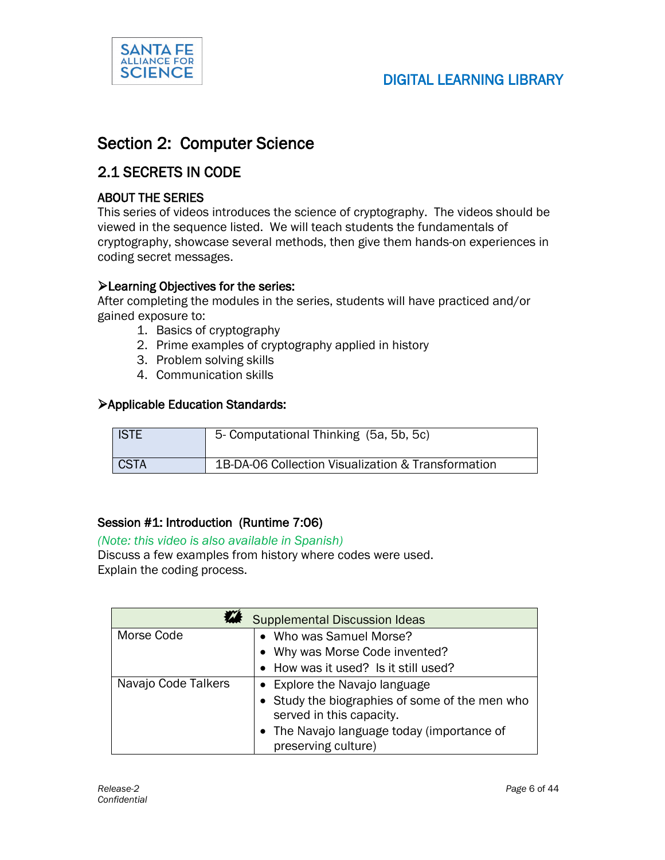

### SCIENCE | SOLID DIGITAL LEARNING LIBRARY

### Section 2: Computer Science

#### 2.1 SECRETS IN CODE

#### ABOUT THE SERIES

This series of videos introduces the science of cryptography. The videos should be viewed in the sequence listed. We will teach students the fundamentals of cryptography, showcase several methods, then give them hands-on experiences in coding secret messages.

#### Learning Objectives for the series:

After completing the modules in the series, students will have practiced and/or gained exposure to:

- 1. Basics of cryptography
- 2. Prime examples of cryptography applied in history
- 3. Problem solving skills
- 4. Communication skills

#### Applicable Education Standards:

| <b>ISTE</b> | 5- Computational Thinking (5a, 5b, 5c)             |
|-------------|----------------------------------------------------|
| <b>CSTA</b> | 1B-DA-06 Collection Visualization & Transformation |

#### Session #1: Introduction (Runtime 7:06)

#### *(Note: this video is also available in Spanish)*

Discuss a few examples from history where codes were used. Explain the coding process.

| <b>Supplemental Discussion Ideas</b> |                                                |
|--------------------------------------|------------------------------------------------|
| Morse Code                           | Who was Samuel Morse?<br>$\bullet$             |
|                                      | • Why was Morse Code invented?                 |
|                                      | • How was it used? Is it still used?           |
| Navajo Code Talkers                  | • Explore the Navajo language                  |
|                                      | • Study the biographies of some of the men who |
|                                      | served in this capacity.                       |
|                                      | • The Navajo language today (importance of     |
|                                      | preserving culture)                            |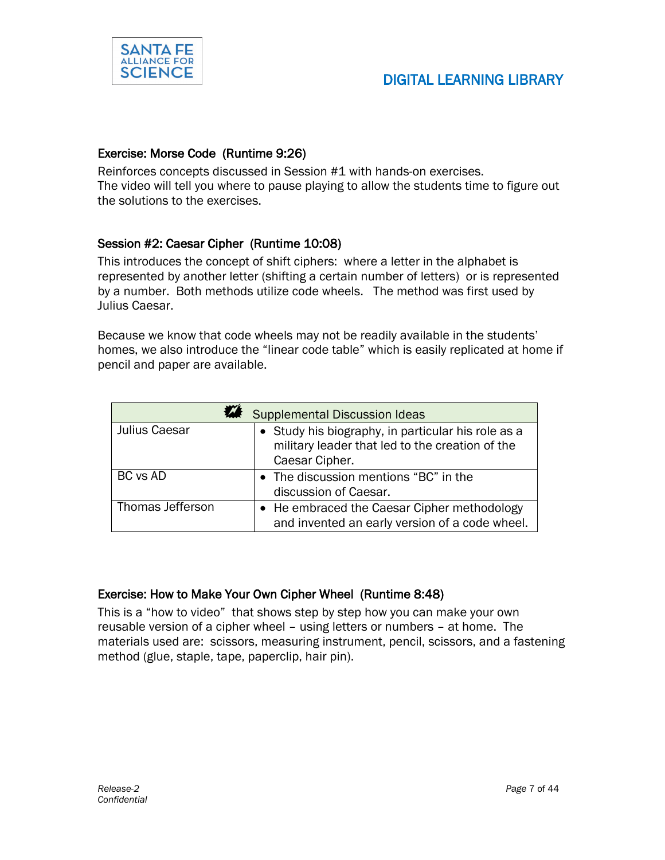

#### Exercise: Morse Code (Runtime 9:26)

Reinforces concepts discussed in Session #1 with hands-on exercises. The video will tell you where to pause playing to allow the students time to figure out the solutions to the exercises.

#### Session #2: Caesar Cipher (Runtime 10:08)

This introduces the concept of shift ciphers: where a letter in the alphabet is represented by another letter (shifting a certain number of letters) or is represented by a number. Both methods utilize code wheels. The method was first used by Julius Caesar.

Because we know that code wheels may not be readily available in the students' homes, we also introduce the "linear code table" which is easily replicated at home if pencil and paper are available.

| <b>Supplemental Discussion Ideas</b> |                                                                                                                         |
|--------------------------------------|-------------------------------------------------------------------------------------------------------------------------|
| Julius Caesar                        | • Study his biography, in particular his role as a<br>military leader that led to the creation of the<br>Caesar Cipher. |
| <b>BC</b> vs AD                      | • The discussion mentions "BC" in the<br>discussion of Caesar.                                                          |
| Thomas Jefferson                     | • He embraced the Caesar Cipher methodology<br>and invented an early version of a code wheel.                           |

#### Exercise: How to Make Your Own Cipher Wheel (Runtime 8:48)

This is a "how to video" that shows step by step how you can make your own reusable version of a cipher wheel – using letters or numbers – at home. The materials used are: scissors, measuring instrument, pencil, scissors, and a fastening method (glue, staple, tape, paperclip, hair pin).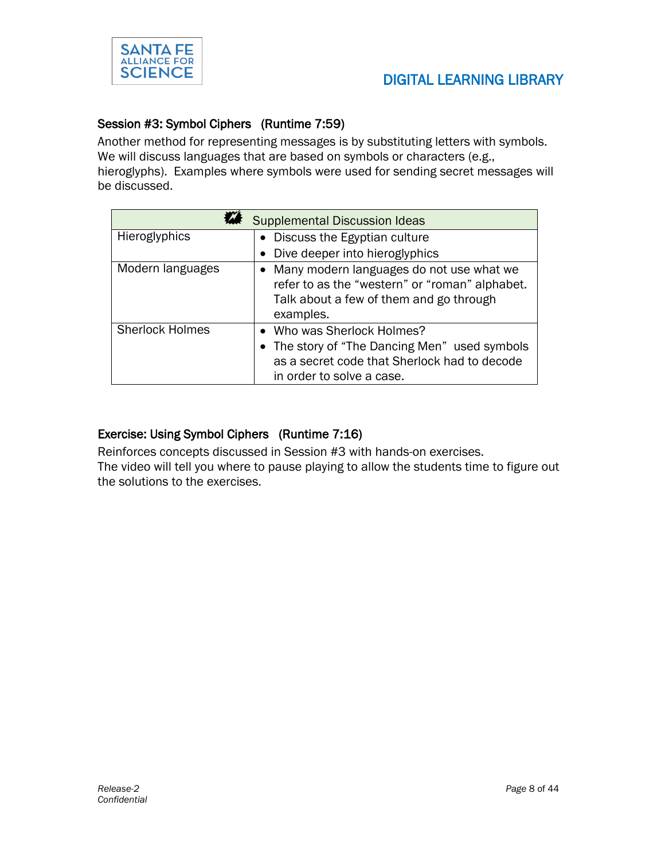

#### Session #3: Symbol Ciphers (Runtime 7:59)

Another method for representing messages is by substituting letters with symbols. We will discuss languages that are based on symbols or characters (e.g., hieroglyphs). Examples where symbols were used for sending secret messages will be discussed.

| <b>Supplemental Discussion Ideas</b> |                                                                                                                                                          |  |
|--------------------------------------|----------------------------------------------------------------------------------------------------------------------------------------------------------|--|
| Hieroglyphics                        | • Discuss the Egyptian culture                                                                                                                           |  |
|                                      | Dive deeper into hieroglyphics                                                                                                                           |  |
| Modern languages                     | • Many modern languages do not use what we<br>refer to as the "western" or "roman" alphabet.<br>Talk about a few of them and go through<br>examples.     |  |
| <b>Sherlock Holmes</b>               | • Who was Sherlock Holmes?<br>• The story of "The Dancing Men" used symbols<br>as a secret code that Sherlock had to decode<br>in order to solve a case. |  |

#### Exercise: Using Symbol Ciphers (Runtime 7:16)

Reinforces concepts discussed in Session #3 with hands-on exercises. The video will tell you where to pause playing to allow the students time to figure out the solutions to the exercises.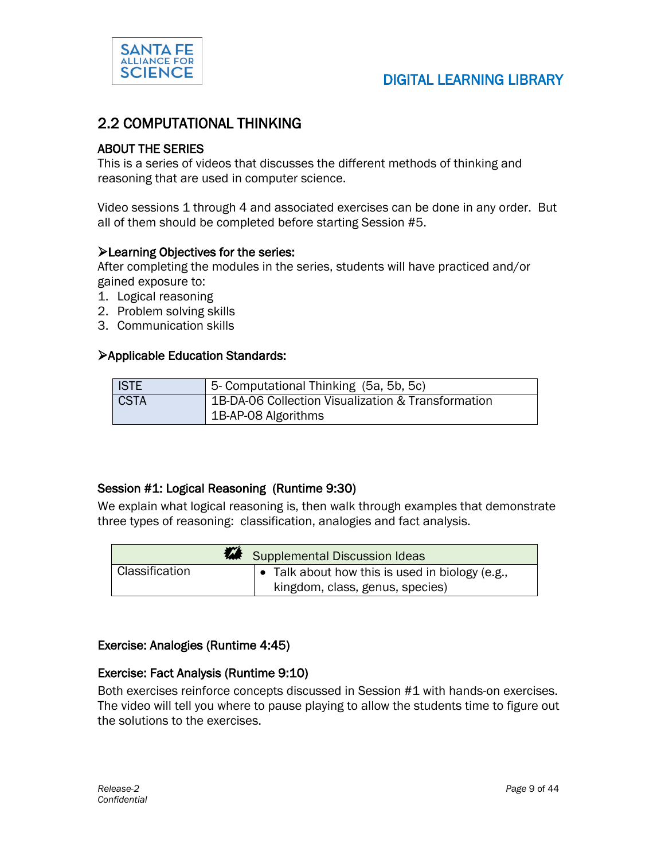

### SCIENCE | SCIENCE | DIGITAL LEARNING LIBRARY

#### 2.2 COMPUTATIONAL THINKING

#### ABOUT THE SERIES

This is a series of videos that discusses the different methods of thinking and reasoning that are used in computer science.

Video sessions 1 through 4 and associated exercises can be done in any order. But all of them should be completed before starting Session #5.

#### **Example Objectives for the series:**

After completing the modules in the series, students will have practiced and/or gained exposure to:

- 1. Logical reasoning
- 2. Problem solving skills
- 3. Communication skills

#### Applicable Education Standards:

| <b>ISTE</b> | 5- Computational Thinking (5a, 5b, 5c)             |
|-------------|----------------------------------------------------|
| <b>CSTA</b> | 1B-DA-06 Collection Visualization & Transformation |
|             | 1B-AP-08 Algorithms                                |

#### Session #1: Logical Reasoning (Runtime 9:30)

We explain what logical reasoning is, then walk through examples that demonstrate three types of reasoning: classification, analogies and fact analysis.

| Supplemental Discussion Ideas |                                                         |
|-------------------------------|---------------------------------------------------------|
| Classification                | $\bullet$ Talk about how this is used in biology (e.g., |
|                               | kingdom, class, genus, species)                         |

#### Exercise: Analogies (Runtime 4:45)

#### Exercise: Fact Analysis (Runtime 9:10)

Both exercises reinforce concepts discussed in Session #1 with hands-on exercises. The video will tell you where to pause playing to allow the students time to figure out the solutions to the exercises.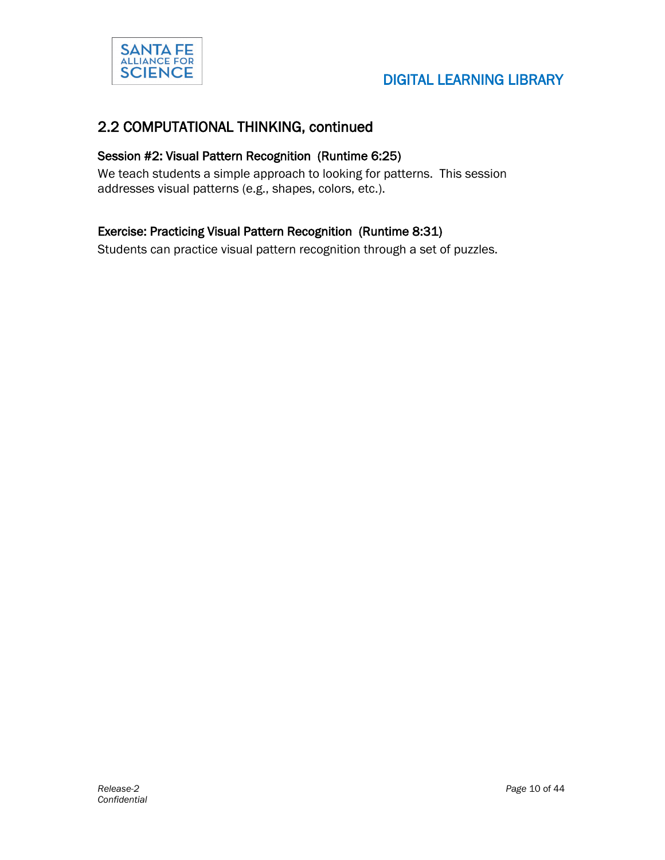

#### 2.2 COMPUTATIONAL THINKING, continued

#### Session #2: Visual Pattern Recognition (Runtime 6:25)

We teach students a simple approach to looking for patterns. This session addresses visual patterns (e.g., shapes, colors, etc.).

#### Exercise: Practicing Visual Pattern Recognition (Runtime 8:31)

Students can practice visual pattern recognition through a set of puzzles.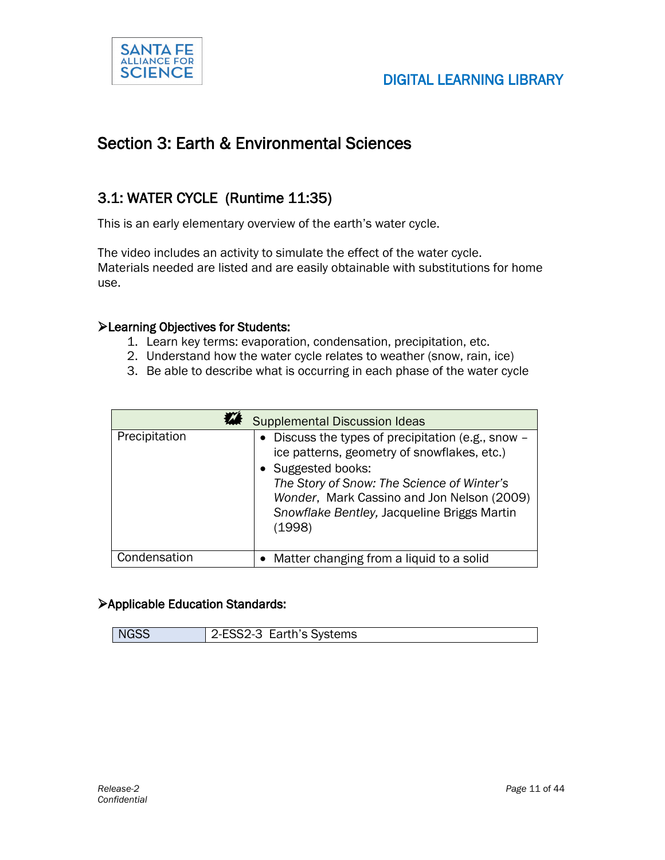

### Section 3: Earth & Environmental Sciences

### 3.1: WATER CYCLE (Runtime 11:35)

This is an early elementary overview of the earth's water cycle.

The video includes an activity to simulate the effect of the water cycle. Materials needed are listed and are easily obtainable with substitutions for home use.

#### Learning Objectives for Students:

- 1. Learn key terms: evaporation, condensation, precipitation, etc.
- 2. Understand how the water cycle relates to weather (snow, rain, ice)
- 3. Be able to describe what is occurring in each phase of the water cycle

| <b>Supplemental Discussion Ideas</b> |                                                                                                                                                                                                                                                                              |
|--------------------------------------|------------------------------------------------------------------------------------------------------------------------------------------------------------------------------------------------------------------------------------------------------------------------------|
| Precipitation                        | • Discuss the types of precipitation (e.g., snow –<br>ice patterns, geometry of snowflakes, etc.)<br>• Suggested books:<br>The Story of Snow: The Science of Winter's<br>Wonder, Mark Cassino and Jon Nelson (2009)<br>Snowflake Bentley, Jacqueline Briggs Martin<br>(1998) |
| Condensation                         | • Matter changing from a liquid to a solid                                                                                                                                                                                                                                   |

#### Applicable Education Standards:

| <b>NGSS</b> | 2-ESS2-3 Earth's Systems |
|-------------|--------------------------|
|-------------|--------------------------|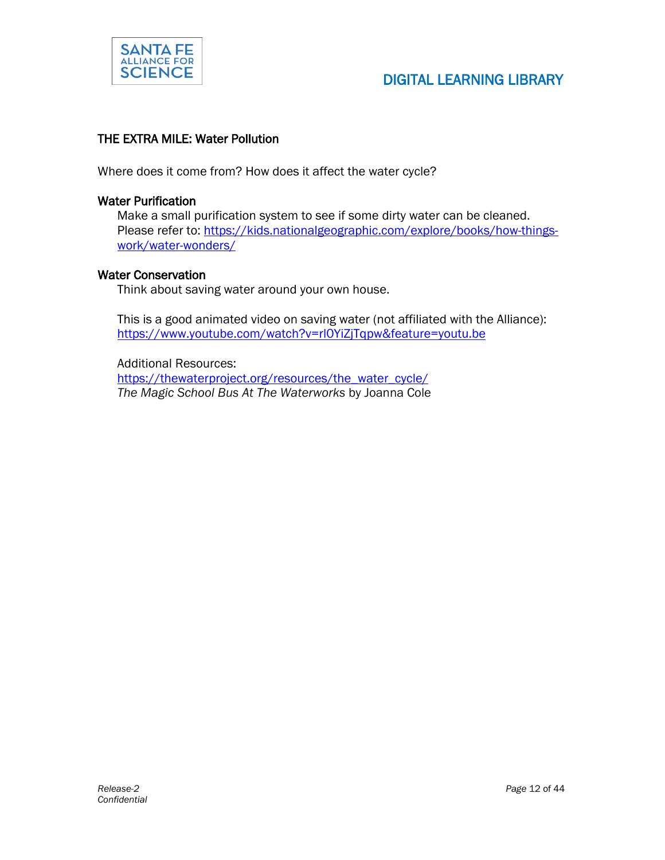

#### THE EXTRA MILE: Water Pollution

Where does it come from? How does it affect the water cycle?

#### Water Purification

Make a small purification system to see if some dirty water can be cleaned. Please refer to: [https://kids.nationalgeographic.com/explore/books/how-things](https://kids.nationalgeographic.com/explore/books/how-things-work/water-wonders/)[work/water-wonders/](https://kids.nationalgeographic.com/explore/books/how-things-work/water-wonders/)

#### Water Conservation

Think about saving water around your own house.

This is a good animated video on saving water (not affiliated with the Alliance): <https://www.youtube.com/watch?v=rl0YiZjTqpw&feature=youtu.be>

Additional Resources: [https://thewaterproject.org/resources/the\\_water\\_cycle/](https://thewaterproject.org/resources/the_water_cycle/) *The Magic School Bus At The Waterworks* by Joanna Cole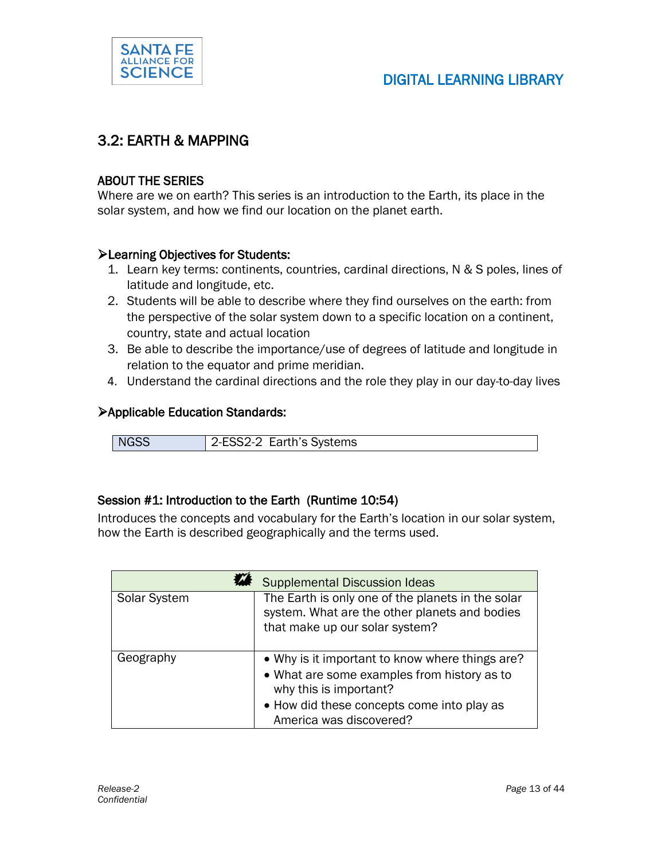

#### 3.2: EARTH & MAPPING

#### ABOUT THE SERIES

Where are we on earth? This series is an introduction to the Earth, its place in the solar system, and how we find our location on the planet earth.

#### Learning Objectives for Students:

- 1. Learn key terms: continents, countries, cardinal directions, N & S poles, lines of latitude and longitude, etc.
- 2. Students will be able to describe where they find ourselves on the earth: from the perspective of the solar system down to a specific location on a continent, country, state and actual location
- 3. Be able to describe the importance/use of degrees of latitude and longitude in relation to the equator and prime meridian.
- 4. Understand the cardinal directions and the role they play in our day-to-day lives

#### Applicable Education Standards:

| <b>NGSS</b> | 2-ESS2-2 Earth's Systems |
|-------------|--------------------------|

#### Session #1: Introduction to the Earth (Runtime 10:54)

Introduces the concepts and vocabulary for the Earth's location in our solar system, how the Earth is described geographically and the terms used.

|              | <b>Supplemental Discussion Ideas</b>                                                                                                                                                              |
|--------------|---------------------------------------------------------------------------------------------------------------------------------------------------------------------------------------------------|
| Solar System | The Earth is only one of the planets in the solar<br>system. What are the other planets and bodies<br>that make up our solar system?                                                              |
| Geography    | • Why is it important to know where things are?<br>• What are some examples from history as to<br>why this is important?<br>• How did these concepts come into play as<br>America was discovered? |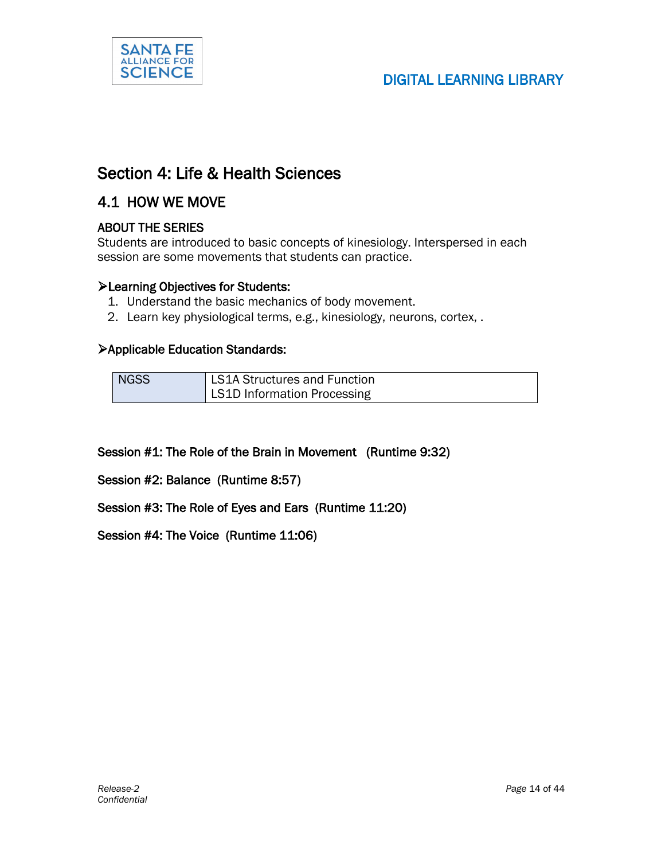

### Section 4: Life & Health Sciences

#### 4.1 HOW WE MOVE

#### ABOUT THE SERIES

Students are introduced to basic concepts of kinesiology. Interspersed in each session are some movements that students can practice.

#### Learning Objectives for Students:

- 1. Understand the basic mechanics of body movement.
- 2. Learn key physiological terms, e.g., kinesiology, neurons, cortex, .

#### Applicable Education Standards:

| <b>NGSS</b> | LS1A Structures and Function |
|-------------|------------------------------|
|             | LS1D Information Processing  |

#### Session #1: The Role of the Brain in Movement (Runtime 9:32)

Session #2: Balance (Runtime 8:57)

Session #3: The Role of Eyes and Ears (Runtime 11:20)

Session #4: The Voice (Runtime 11:06)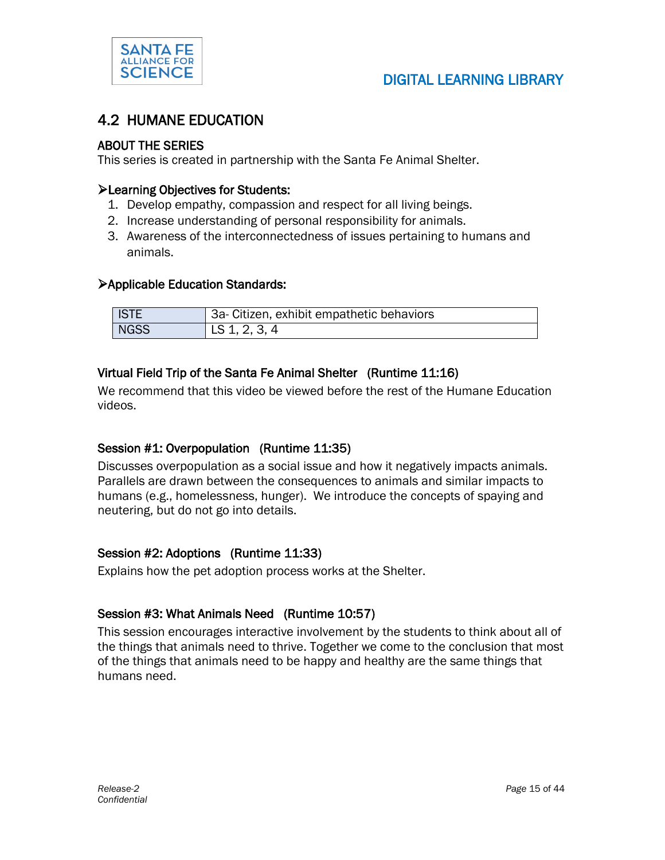

#### 4.2 HUMANE EDUCATION

#### ABOUT THE SERIES

This series is created in partnership with the Santa Fe Animal Shelter.

#### Learning Objectives for Students:

- 1. Develop empathy, compassion and respect for all living beings.
- 2. Increase understanding of personal responsibility for animals.
- 3. Awareness of the interconnectedness of issues pertaining to humans and animals.

#### Applicable Education Standards:

| <b>ISTE</b> | 3a- Citizen, exhibit empathetic behaviors |
|-------------|-------------------------------------------|
| <b>NGSS</b> | LS 1, 2, 3, 4                             |

#### Virtual Field Trip of the Santa Fe Animal Shelter (Runtime 11:16)

We recommend that this video be viewed before the rest of the Humane Education videos.

#### Session #1: Overpopulation (Runtime 11:35)

Discusses overpopulation as a social issue and how it negatively impacts animals. Parallels are drawn between the consequences to animals and similar impacts to humans (e.g., homelessness, hunger). We introduce the concepts of spaying and neutering, but do not go into details.

#### Session #2: Adoptions (Runtime 11:33)

Explains how the pet adoption process works at the Shelter.

#### Session #3: What Animals Need (Runtime 10:57)

This session encourages interactive involvement by the students to think about all of the things that animals need to thrive. Together we come to the conclusion that most of the things that animals need to be happy and healthy are the same things that humans need.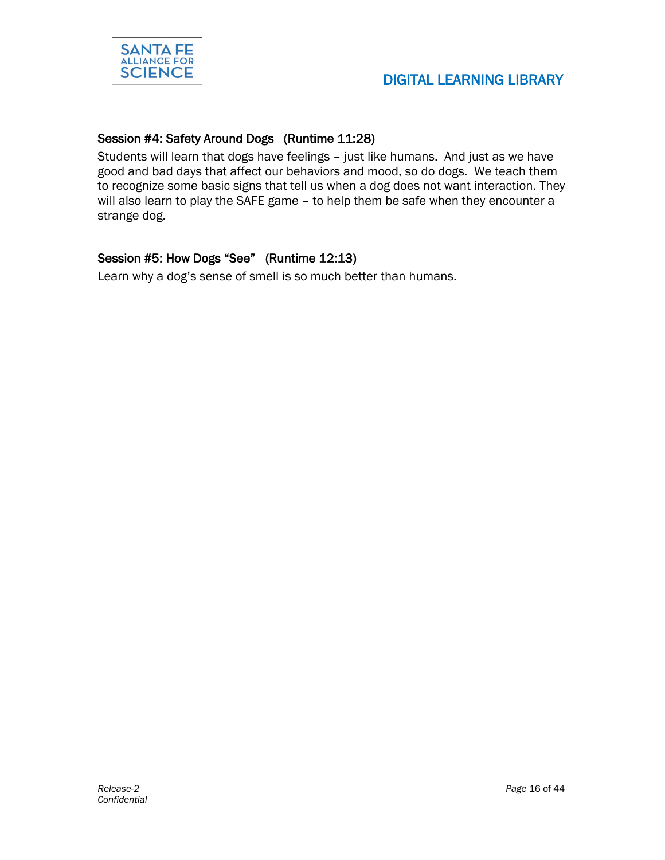

#### Session #4: Safety Around Dogs (Runtime 11:28)

Students will learn that dogs have feelings – just like humans. And just as we have good and bad days that affect our behaviors and mood, so do dogs. We teach them to recognize some basic signs that tell us when a dog does not want interaction. They will also learn to play the SAFE game – to help them be safe when they encounter a strange dog.

#### Session #5: How Dogs "See" (Runtime 12:13)

Learn why a dog's sense of smell is so much better than humans.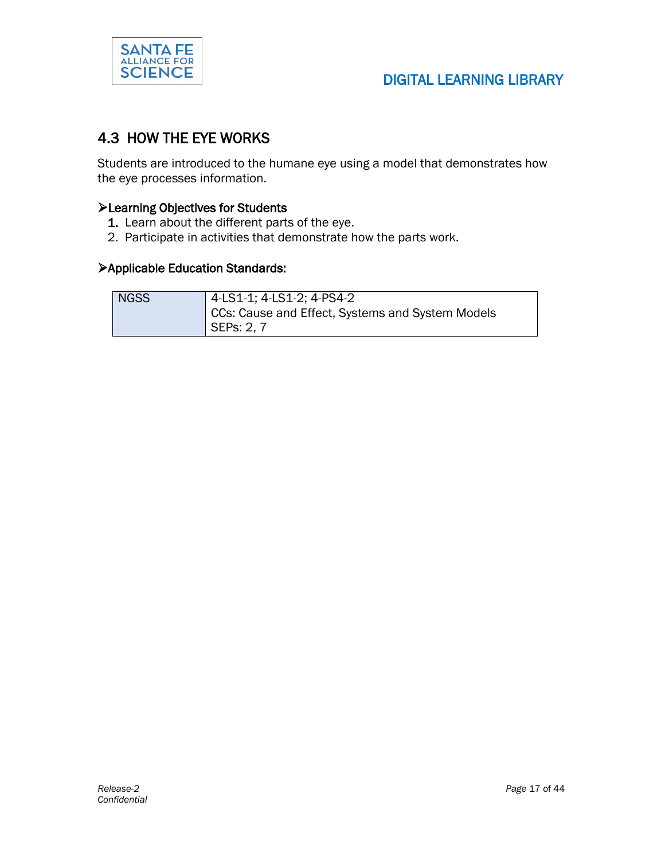

### 4.3 HOW THE EYE WORKS

Students are introduced to the humane eye using a model that demonstrates how the eye processes information.

#### Learning Objectives for Students

- 1. Learn about the different parts of the eye.
- 2. Participate in activities that demonstrate how the parts work.

#### Applicable Education Standards:

| <b>NGSS</b> | 4-LS1-1; 4-LS1-2; 4-PS4-2                        |
|-------------|--------------------------------------------------|
|             | CCs: Cause and Effect, Systems and System Models |
|             | SEPs: 2, 7                                       |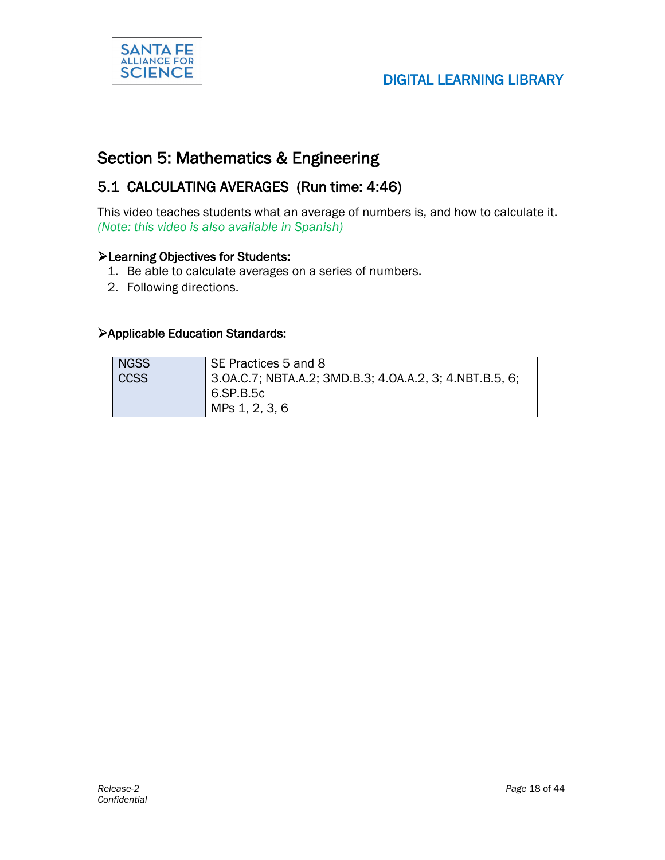

### Section 5: Mathematics & Engineering

### 5.1 CALCULATING AVERAGES (Run time: 4:46)

This video teaches students what an average of numbers is, and how to calculate it. *(Note: this video is also available in Spanish)*

#### Learning Objectives for Students:

- 1. Be able to calculate averages on a series of numbers.
- 2. Following directions.

#### Applicable Education Standards:

| <b>NGSS</b> | SE Practices 5 and 8                                                                   |
|-------------|----------------------------------------------------------------------------------------|
| <b>CCSS</b> | 3.0A.C.7; NBTA.A.2; 3MD.B.3; 4.0A.A.2, 3; 4.NBT.B.5, 6;<br>6.SP.B.5c<br>MPs 1, 2, 3, 6 |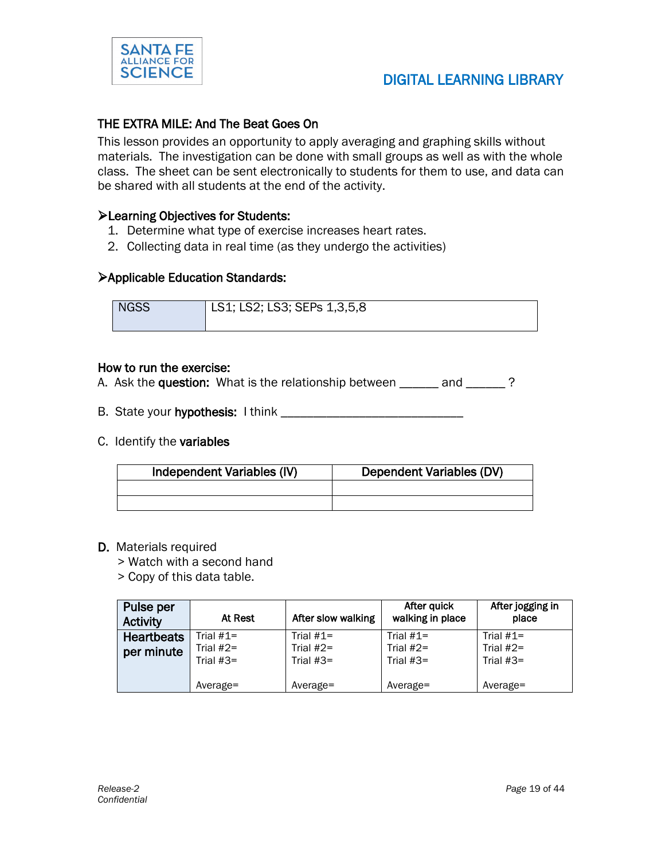

#### THE EXTRA MILE: And The Beat Goes On

This lesson provides an opportunity to apply averaging and graphing skills without materials. The investigation can be done with small groups as well as with the whole class. The sheet can be sent electronically to students for them to use, and data can be shared with all students at the end of the activity.

#### Learning Objectives for Students:

- 1. Determine what type of exercise increases heart rates.
- 2. Collecting data in real time (as they undergo the activities)

#### Applicable Education Standards:

NGSS | LS1; LS2; LS3; SEPs 1,3,5,8

#### How to run the exercise:

A. Ask the question: What is the relationship between \_\_\_\_\_\_ and \_\_\_\_\_\_?

- B. State your hypothesis: I think \_\_\_\_\_\_\_\_\_\_\_\_\_\_\_\_\_\_\_\_\_\_\_\_\_\_\_\_
- C. Identify the variables

| Independent Variables (IV) | Dependent Variables (DV) |
|----------------------------|--------------------------|
|                            |                          |
|                            |                          |

#### D. Materials required

> Watch with a second hand

> Copy of this data table.

| Pulse per<br><b>Activity</b>    | At Rest                  | After slow walking         | After quick<br>walking in place | After jogging in<br>place  |
|---------------------------------|--------------------------|----------------------------|---------------------------------|----------------------------|
| <b>Heartbeats</b><br>per minute | Trial #1=<br>Trial $#2=$ | Trial $#1=$<br>Trial $#2=$ | Trial $#1=$<br>Trial $#2=$      | Trial $#1=$<br>Trial $#2=$ |
|                                 | Trial $#3=$              | Trial $#3=$                | Trial $#3=$                     | Trial $#3=$                |
|                                 | Average=                 | $Average =$                | Average=                        | Average=                   |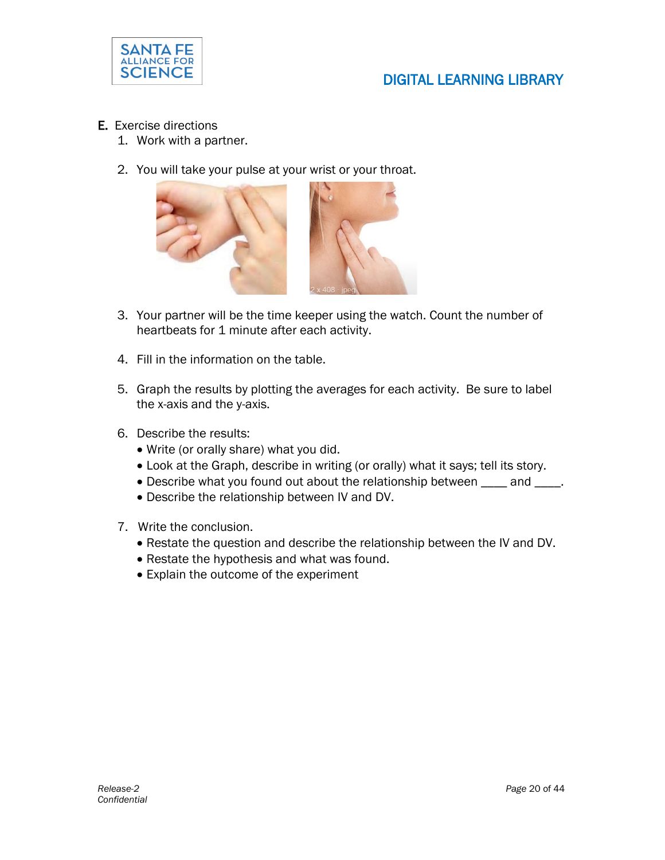

- E. Exercise directions
	- 1. Work with a partner.
	- 2. You will take your pulse at your wrist or your throat.



- 3. Your partner will be the time keeper using the watch. Count the number of heartbeats for 1 minute after each activity.
- 4. Fill in the information on the table.
- 5. Graph the results by plotting the averages for each activity. Be sure to label the x-axis and the y-axis.
- 6. Describe the results:
	- Write (or orally share) what you did.
	- Look at the Graph, describe in writing (or orally) what it says; tell its story.
	- Describe what you found out about the relationship between \_\_\_\_ and \_\_\_\_.
	- Describe the relationship between IV and DV.
- 7. Write the conclusion.
	- Restate the question and describe the relationship between the IV and DV.
	- Restate the hypothesis and what was found.
	- Explain the outcome of the experiment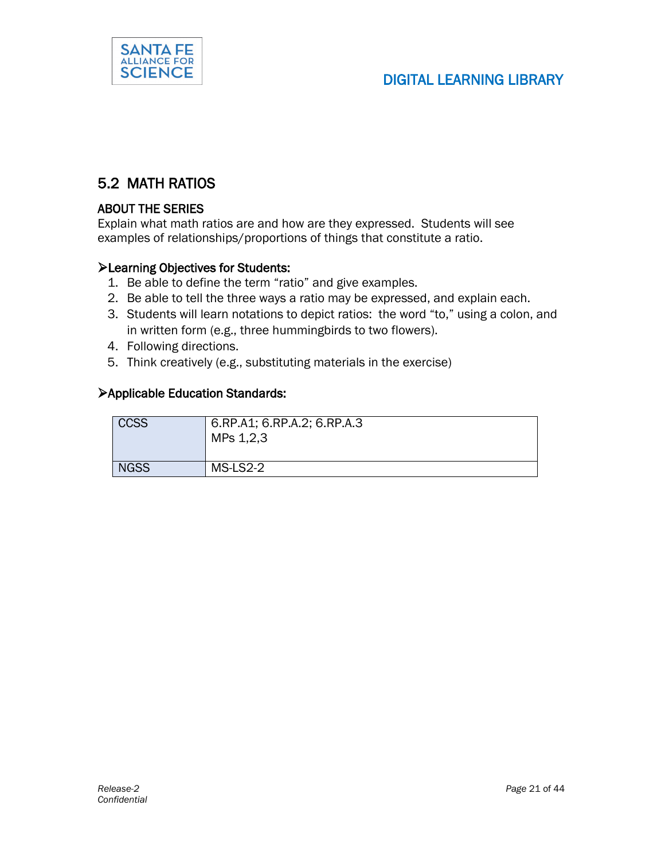

### 5.2 MATH RATIOS

#### ABOUT THE SERIES

Explain what math ratios are and how are they expressed. Students will see examples of relationships/proportions of things that constitute a ratio.

#### Learning Objectives for Students:

- 1. Be able to define the term "ratio" and give examples.
- 2. Be able to tell the three ways a ratio may be expressed, and explain each.
- 3. Students will learn notations to depict ratios: the word "to," using a colon, and in written form (e.g., three hummingbirds to two flowers).
- 4. Following directions.
- 5. Think creatively (e.g., substituting materials in the exercise)

#### Applicable Education Standards:

| <b>CCSS</b> | 6.RP.A1; 6.RP.A.2; 6.RP.A.3<br>MPs 1,2,3 |
|-------------|------------------------------------------|
| <b>NGSS</b> | MS-LS2-2                                 |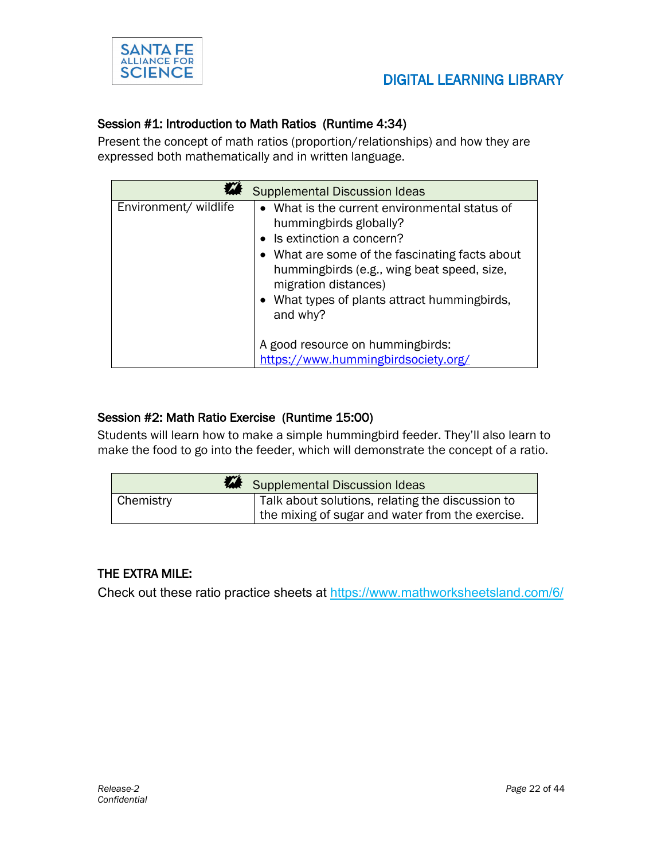

#### Session #1: Introduction to Math Ratios (Runtime 4:34)

Present the concept of math ratios (proportion/relationships) and how they are expressed both mathematically and in written language.

|                       | <b>Supplemental Discussion Ideas</b>                                                                                                                                                                                                                                                      |
|-----------------------|-------------------------------------------------------------------------------------------------------------------------------------------------------------------------------------------------------------------------------------------------------------------------------------------|
| Environment/ wildlife | • What is the current environmental status of<br>hummingbirds globally?<br>• Is extinction a concern?<br>• What are some of the fascinating facts about<br>hummingbirds (e.g., wing beat speed, size,<br>migration distances)<br>• What types of plants attract hummingbirds,<br>and why? |
|                       | A good resource on hummingbirds:<br>https://www.hummingbirdsociety.org/                                                                                                                                                                                                                   |

#### Session #2: Math Ratio Exercise (Runtime 15:00)

Students will learn how to make a simple hummingbird feeder. They'll also learn to make the food to go into the feeder, which will demonstrate the concept of a ratio.

|                  | Supplemental Discussion Ideas                    |  |
|------------------|--------------------------------------------------|--|
| <b>Chemistry</b> | Talk about solutions, relating the discussion to |  |
|                  | the mixing of sugar and water from the exercise. |  |

#### THE EXTRA MILE:

Check out these ratio practice sheets at <https://www.mathworksheetsland.com/6/>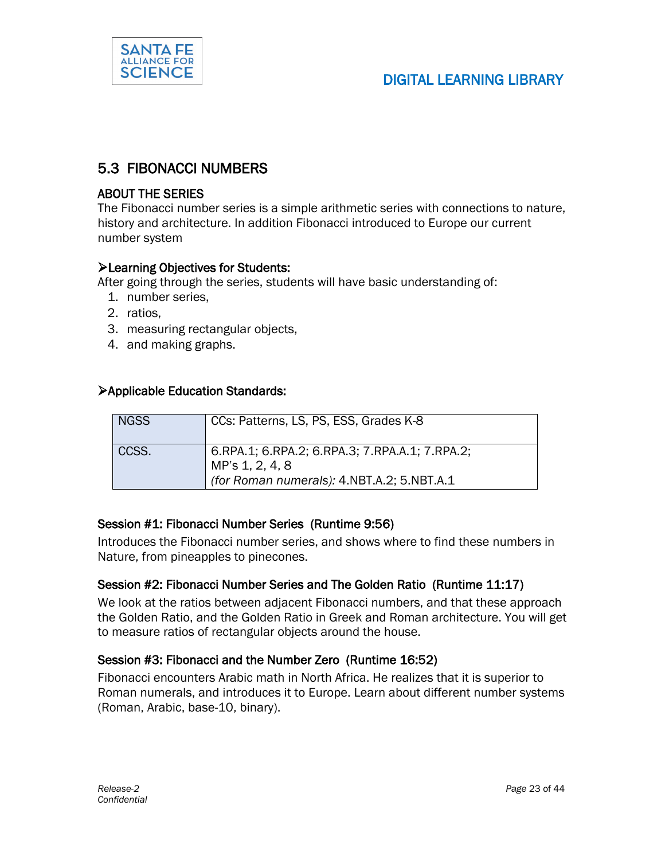

### 5.3 FIBONACCI NUMBERS

#### ABOUT THE SERIES

The Fibonacci number series is a simple arithmetic series with connections to nature, history and architecture. In addition Fibonacci introduced to Europe our current number system

#### Learning Objectives for Students:

After going through the series, students will have basic understanding of:

- 1. number series,
- 2. ratios,
- 3. measuring rectangular objects,
- 4. and making graphs.

#### Applicable Education Standards:

| <b>NGSS</b> | CCs: Patterns, LS, PS, ESS, Grades K-8                                                                          |
|-------------|-----------------------------------------------------------------------------------------------------------------|
| CCSS.       | 6.RPA.1; 6.RPA.2; 6.RPA.3; 7.RPA.A.1; 7.RPA.2;<br>MP's 1, 2, 4, 8<br>(for Roman numerals): 4.NBT.A.2; 5.NBT.A.1 |

#### Session #1: Fibonacci Number Series (Runtime 9:56)

Introduces the Fibonacci number series, and shows where to find these numbers in Nature, from pineapples to pinecones.

#### Session #2: Fibonacci Number Series and The Golden Ratio (Runtime 11:17)

We look at the ratios between adjacent Fibonacci numbers, and that these approach the Golden Ratio, and the Golden Ratio in Greek and Roman architecture. You will get to measure ratios of rectangular objects around the house.

#### Session #3: Fibonacci and the Number Zero (Runtime 16:52)

Fibonacci encounters Arabic math in North Africa. He realizes that it is superior to Roman numerals, and introduces it to Europe. Learn about different number systems (Roman, Arabic, base-10, binary).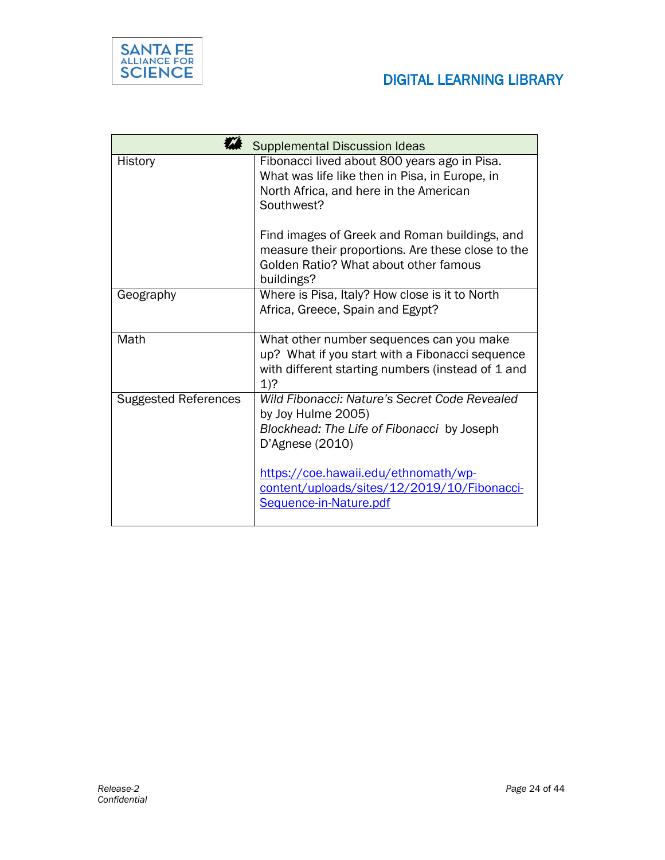

|                             | <b>Supplemental Discussion Ideas</b>                                                                                                                       |
|-----------------------------|------------------------------------------------------------------------------------------------------------------------------------------------------------|
| History                     | Fibonacci lived about 800 years ago in Pisa.<br>What was life like then in Pisa, in Europe, in<br>North Africa, and here in the American<br>Southwest?     |
|                             | Find images of Greek and Roman buildings, and<br>measure their proportions. Are these close to the<br>Golden Ratio? What about other famous<br>buildings?  |
| Geography                   | Where is Pisa, Italy? How close is it to North<br>Africa, Greece, Spain and Egypt?                                                                         |
| Math                        | What other number sequences can you make<br>up? What if you start with a Fibonacci sequence<br>with different starting numbers (instead of 1 and<br>$1)$ ? |
| <b>Suggested References</b> | Wild Fibonacci: Nature's Secret Code Revealed<br>by Joy Hulme 2005)<br>Blockhead: The Life of Fibonacci by Joseph<br>D'Agnese (2010)                       |
|                             | https://coe.hawaii.edu/ethnomath/wp-<br>content/uploads/sites/12/2019/10/Fibonacci-<br>Sequence-in-Nature.pdf                                              |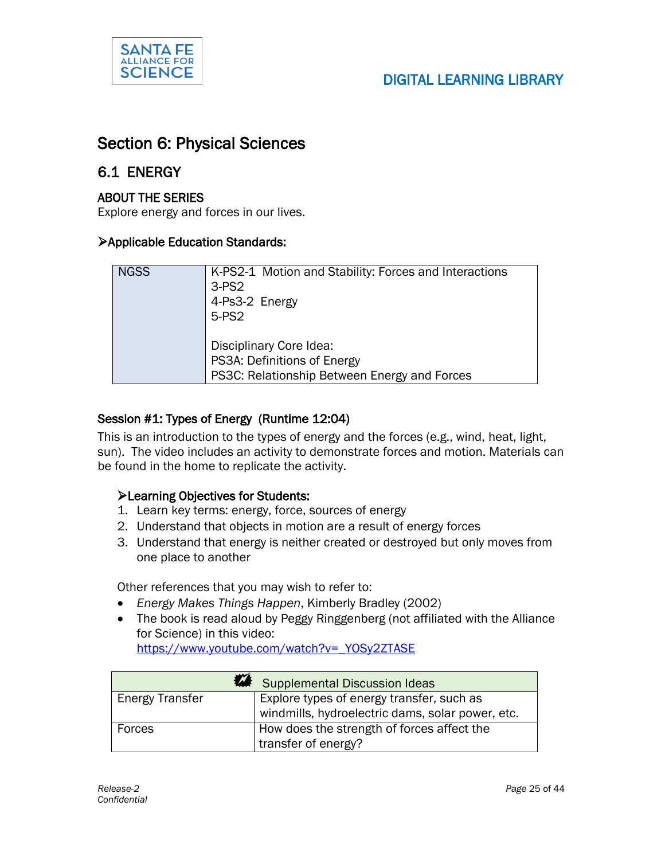

### Section 6: Physical Sciences

#### 6.1 ENERGY

#### ABOUT THE SERIES

Explore energy and forces in our lives.

#### Applicable Education Standards:

| <b>NGSS</b> | K-PS2-1 Motion and Stability: Forces and Interactions<br>$3-PS2$<br>4-Ps3-2 Energy<br>5-PS2            |
|-------------|--------------------------------------------------------------------------------------------------------|
|             | Disciplinary Core Idea:<br>PS3A: Definitions of Energy<br>PS3C: Relationship Between Energy and Forces |

#### Session #1: Types of Energy (Runtime 12:04)

This is an introduction to the types of energy and the forces (e.g., wind, heat, light, sun). The video includes an activity to demonstrate forces and motion. Materials can be found in the home to replicate the activity.

#### Learning Objectives for Students:

- 1. Learn key terms: energy, force, sources of energy
- 2. Understand that objects in motion are a result of energy forces
- 3. Understand that energy is neither created or destroyed but only moves from one place to another

Other references that you may wish to refer to:

- *Energy Makes Things Happen*, Kimberly Bradley (2002)
- The book is read aloud by Peggy Ringgenberg (not affiliated with the Alliance for Science) in this video: [https://www.youtube.com/watch?v=\\_YOSy2ZTASE](https://www.youtube.com/watch?v=_YOSy2ZTASE)

|                 | Supplemental Discussion Ideas                                                                 |
|-----------------|-----------------------------------------------------------------------------------------------|
| Energy Transfer | Explore types of energy transfer, such as<br>windmills, hydroelectric dams, solar power, etc. |
| Forces          | How does the strength of forces affect the<br>transfer of energy?                             |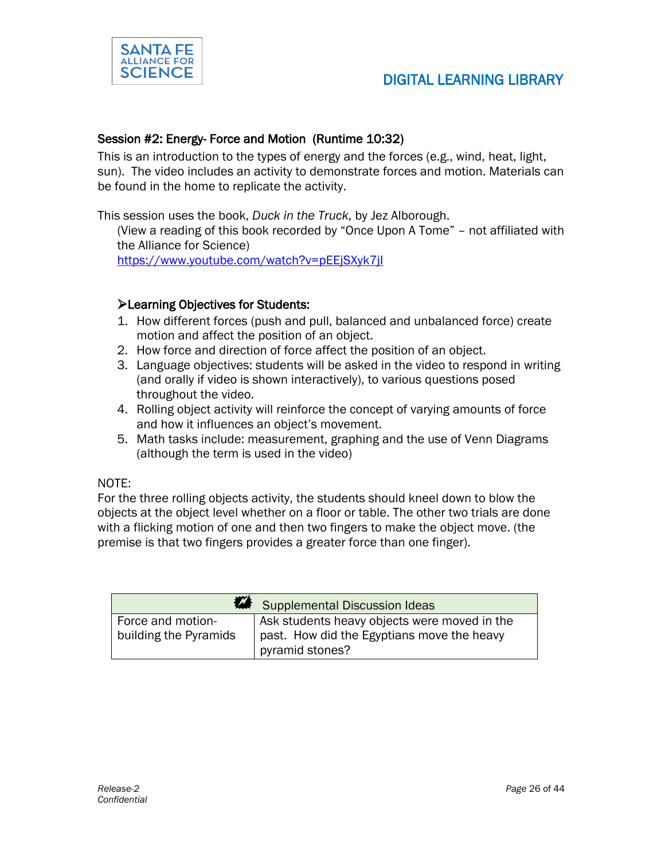

#### Session #2: Energy- Force and Motion (Runtime 10:32)

This is an introduction to the types of energy and the forces (e.g., wind, heat, light, sun). The video includes an activity to demonstrate forces and motion. Materials can be found in the home to replicate the activity.

This session uses the book, *Duck in the Truck*, by Jez Alborough.

(View a reading of this book recorded by "Once Upon A Tome" – not affiliated with the Alliance for Science)

<https://www.youtube.com/watch?v=pEEjSXyk7jI>

#### Learning Objectives for Students:

- 1. How different forces (push and pull, balanced and unbalanced force) create motion and affect the position of an object.
- 2. How force and direction of force affect the position of an object.
- 3. Language objectives: students will be asked in the video to respond in writing (and orally if video is shown interactively), to various questions posed throughout the video.
- 4. Rolling object activity will reinforce the concept of varying amounts of force and how it influences an object's movement.
- 5. Math tasks include: measurement, graphing and the use of Venn Diagrams (although the term is used in the video)

#### NOTE:

For the three rolling objects activity, the students should kneel down to blow the objects at the object level whether on a floor or table. The other two trials are done with a flicking motion of one and then two fingers to make the object move. (the premise is that two fingers provides a greater force than one finger).

| Supplemental Discussion Ideas              |                                                                                            |
|--------------------------------------------|--------------------------------------------------------------------------------------------|
| Force and motion-<br>building the Pyramids | Ask students heavy objects were moved in the<br>past. How did the Egyptians move the heavy |
|                                            | pyramid stones?                                                                            |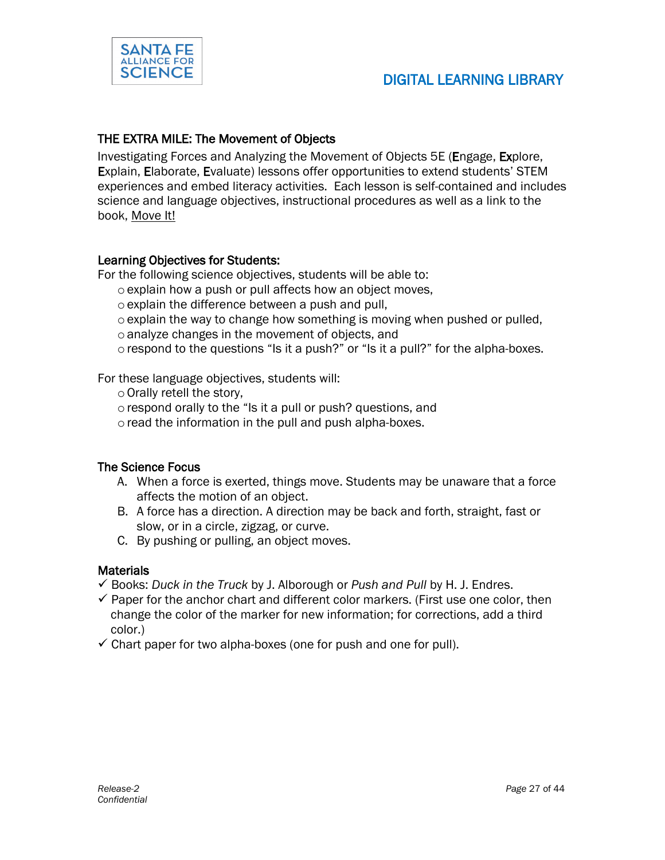

#### THE EXTRA MILE: The Movement of Objects

Investigating Forces and Analyzing the Movement of Objects 5E (Engage, Explore, Explain, Elaborate, Evaluate) lessons offer opportunities to extend students' STEM experiences and embed literacy activities. Each lesson is self-contained and includes science and language objectives, instructional procedures as well as a link to the book, Move It!

#### Learning Objectives for Students:

For the following science objectives, students will be able to:

- oexplain how a push or pull affects how an object moves,
- oexplain the difference between a push and pull,
- $\circ$  explain the way to change how something is moving when pushed or pulled.
- oanalyze changes in the movement of objects, and
- $\circ$  respond to the questions "Is it a push?" or "Is it a pull?" for the alpha-boxes.

For these language objectives, students will:

- oOrally retell the story,
- o respond orally to the "Is it a pull or push? questions, and
- oread the information in the pull and push alpha-boxes.

#### The Science Focus

- A. When a force is exerted, things move. Students may be unaware that a force affects the motion of an object.
- B. A force has a direction. A direction may be back and forth, straight, fast or slow, or in a circle, zigzag, or curve.
- C. By pushing or pulling, an object moves.

#### **Materials**

- Books: *Duck in the Truck* by J. Alborough or *Push and Pull* by H. J. Endres.
- $\checkmark$  Paper for the anchor chart and different color markers. (First use one color, then change the color of the marker for new information; for corrections, add a third color.)
- $\checkmark$  Chart paper for two alpha-boxes (one for push and one for pull).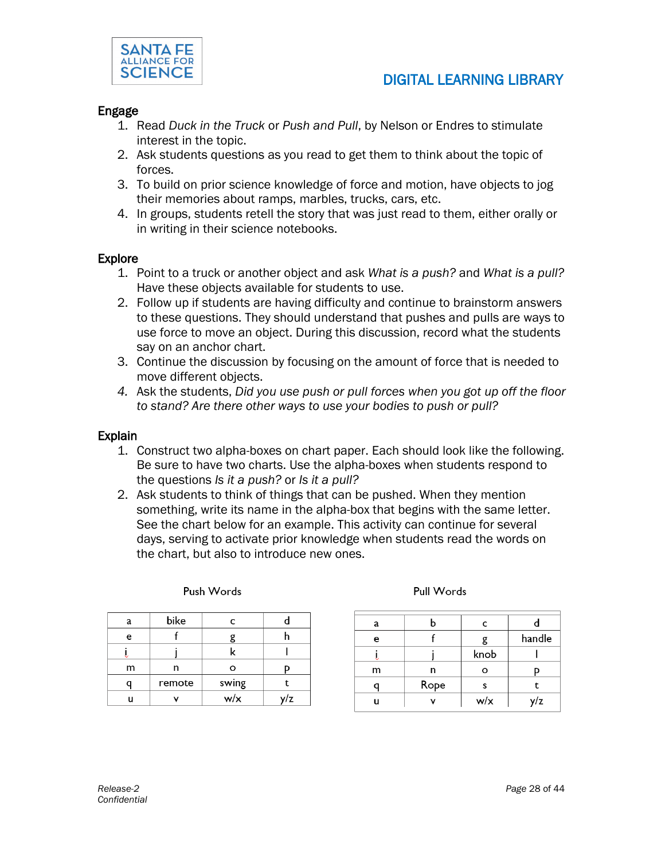

#### Engage

- 1. Read *Duck in the Truck* or *Push and Pull*, by Nelson or Endres to stimulate interest in the topic.
- 2. Ask students questions as you read to get them to think about the topic of forces.
- 3. To build on prior science knowledge of force and motion, have objects to jog their memories about ramps, marbles, trucks, cars, etc.
- 4. In groups, students retell the story that was just read to them, either orally or in writing in their science notebooks.

#### Explore

- 1. Point to a truck or another object and ask *What is a push?* and *What is a pull?*  Have these objects available for students to use.
- 2. Follow up if students are having difficulty and continue to brainstorm answers to these questions. They should understand that pushes and pulls are ways to use force to move an object. During this discussion, record what the students say on an anchor chart.
- 3. Continue the discussion by focusing on the amount of force that is needed to move different objects.
- *4.* Ask the students, *Did you use push or pull forces when you got up off the floor to stand? Are there other ways to use your bodies to push or pull?*

#### Explain

- 1. Construct two alpha-boxes on chart paper. Each should look like the following. Be sure to have two charts. Use the alpha-boxes when students respond to the questions *Is it a push?* or *Is it a pull?*
- 2. Ask students to think of things that can be pushed. When they mention something, write its name in the alpha-box that begins with the same letter. See the chart below for an example. This activity can continue for several days, serving to activate prior knowledge when students read the words on the chart, but also to introduce new ones.

| a | bike   | c     |     |
|---|--------|-------|-----|
| e |        |       |     |
|   |        | ĸ     |     |
| m | n      | Ο     |     |
|   | remote | swing |     |
|   |        | w/x   | ılz |

Push Words

Pull Words

| a |      | C    |        |
|---|------|------|--------|
| e |      |      | handle |
|   |      | knob |        |
| m | n    | o    |        |
|   | Rope | s    |        |
|   |      | w/x  | y/z    |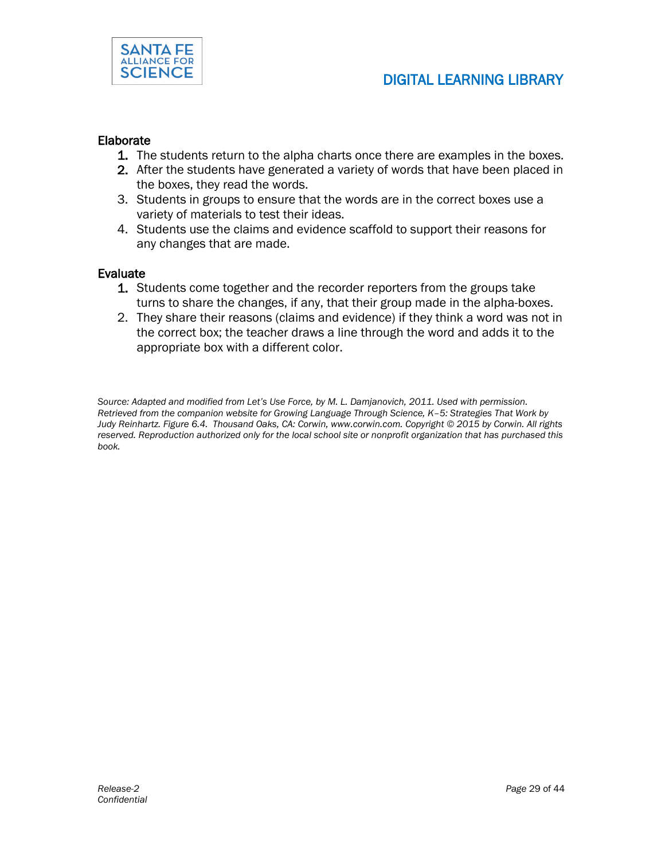

#### Elaborate

- 1. The students return to the alpha charts once there are examples in the boxes.
- 2. After the students have generated a variety of words that have been placed in the boxes, they read the words.
- 3. Students in groups to ensure that the words are in the correct boxes use a variety of materials to test their ideas.
- 4. Students use the claims and evidence scaffold to support their reasons for any changes that are made.

#### Evaluate

- 1. Students come together and the recorder reporters from the groups take turns to share the changes, if any, that their group made in the alpha-boxes.
- 2. They share their reasons (claims and evidence) if they think a word was not in the correct box; the teacher draws a line through the word and adds it to the appropriate box with a different color.

*Source: Adapted and modified from Let's Use Force, by M. L. Damjanovich, 2011. Used with permission. Retrieved from the companion website for Growing Language Through Science, K–5: Strategies That Work by Judy Reinhartz. Figure 6.4. Thousand Oaks, CA: Corwin, www.corwin.com. Copyright © 2015 by Corwin. All rights*  reserved. Reproduction authorized only for the local school site or nonprofit organization that has purchased this *book.*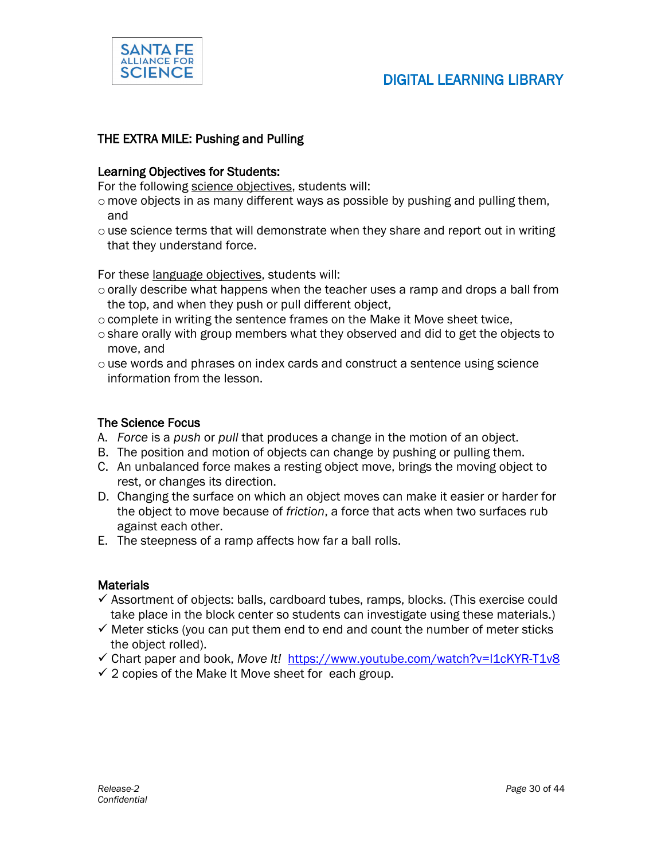

#### THE EXTRA MILE: Pushing and Pulling

#### Learning Objectives for Students:

For the following science objectives, students will:

- $\circ$  move objects in as many different ways as possible by pushing and pulling them, and
- $\circ$  use science terms that will demonstrate when they share and report out in writing that they understand force.

For these language objectives, students will:

- $\circ$  orally describe what happens when the teacher uses a ramp and drops a ball from the top, and when they push or pull different object,
- $\circ$  complete in writing the sentence frames on the Make it Move sheet twice.
- oshare orally with group members what they observed and did to get the objects to move, and
- o use words and phrases on index cards and construct a sentence using science information from the lesson.

#### The Science Focus

- A. *Force* is a *push* or *pull* that produces a change in the motion of an object.
- B. The position and motion of objects can change by pushing or pulling them.
- C. An unbalanced force makes a resting object move, brings the moving object to rest, or changes its direction.
- D. Changing the surface on which an object moves can make it easier or harder for the object to move because of *friction*, a force that acts when two surfaces rub against each other.
- E. The steepness of a ramp affects how far a ball rolls.

#### **Materials**

- $\checkmark$  Assortment of objects: balls, cardboard tubes, ramps, blocks. (This exercise could take place in the block center so students can investigate using these materials.)
- $\checkmark$  Meter sticks (you can put them end to end and count the number of meter sticks the object rolled).
- Chart paper and book, *Move It!* <https://www.youtube.com/watch?v=l1cKYR-T1v8>
- $\checkmark$  2 copies of the Make It Move sheet for each group.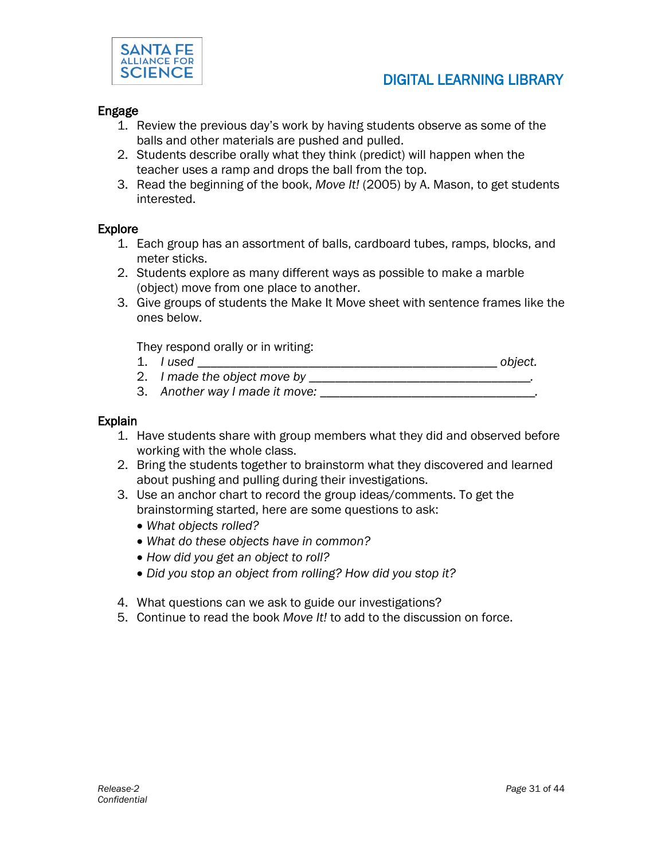

#### Engage

- 1. Review the previous day's work by having students observe as some of the balls and other materials are pushed and pulled.
- 2. Students describe orally what they think (predict) will happen when the teacher uses a ramp and drops the ball from the top.
- 3. Read the beginning of the book, *Move It!* (2005) by A. Mason, to get students interested.

#### Explore

- 1. Each group has an assortment of balls, cardboard tubes, ramps, blocks, and meter sticks.
- 2. Students explore as many different ways as possible to make a marble (object) move from one place to another.
- 3. Give groups of students the Make It Move sheet with sentence frames like the ones below.

They respond orally or in writing:

- 1. *I used \_\_\_\_\_\_\_\_\_\_\_\_\_\_\_\_\_\_\_\_\_\_\_\_\_\_\_\_\_\_\_\_\_\_\_\_\_\_\_\_\_\_\_\_\_\_ object.*
- 2. *I made the object move by \_\_\_\_\_\_\_\_\_\_\_\_\_\_\_\_\_\_\_\_\_\_\_\_\_\_\_\_\_\_\_\_\_*
- 3. Another way I made it move:

#### Explain

- 1. Have students share with group members what they did and observed before working with the whole class.
- 2. Bring the students together to brainstorm what they discovered and learned about pushing and pulling during their investigations.
- 3. Use an anchor chart to record the group ideas/comments. To get the brainstorming started, here are some questions to ask:
	- *What objects rolled?*
	- *What do these objects have in common?*
	- *How did you get an object to roll?*
	- *Did you stop an object from rolling? How did you stop it?*
- 4. What questions can we ask to guide our investigations?
- 5. Continue to read the book *Move It!* to add to the discussion on force.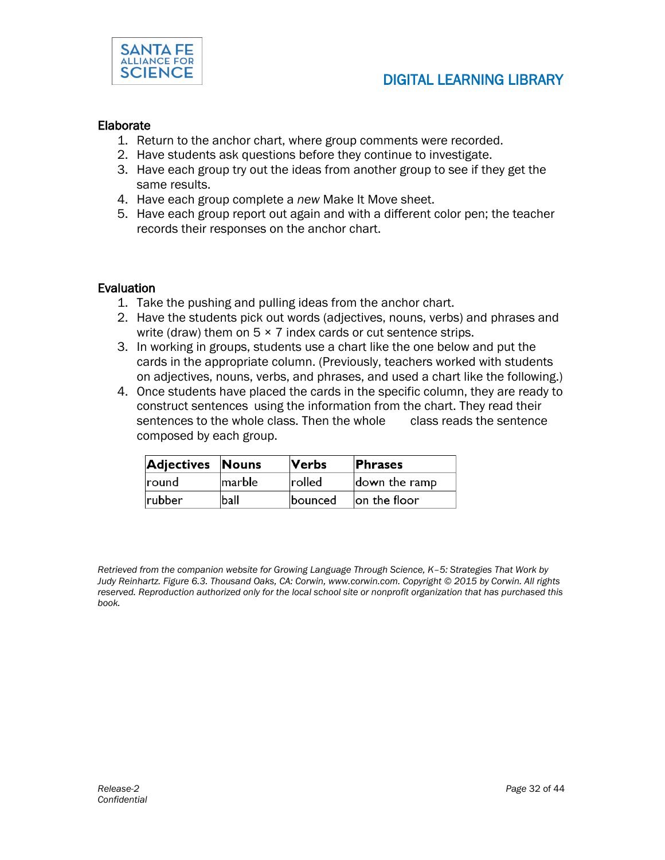

#### Elaborate

- 1. Return to the anchor chart, where group comments were recorded.
- 2. Have students ask questions before they continue to investigate.
- 3. Have each group try out the ideas from another group to see if they get the same results.
- 4. Have each group complete a *new* Make It Move sheet.
- 5. Have each group report out again and with a different color pen; the teacher records their responses on the anchor chart.

#### **Evaluation**

- 1. Take the pushing and pulling ideas from the anchor chart.
- 2. Have the students pick out words (adjectives, nouns, verbs) and phrases and write (draw) them on  $5 \times 7$  index cards or cut sentence strips.
- 3. In working in groups, students use a chart like the one below and put the cards in the appropriate column. (Previously, teachers worked with students on adjectives, nouns, verbs, and phrases, and used a chart like the following.)
- 4. Once students have placed the cards in the specific column, they are ready to construct sentences using the information from the chart. They read their sentences to the whole class. Then the whole class reads the sentence composed by each group.

| <b>Adjectives Nouns</b> |        | Verbs          | <b>Phrases</b>   |
|-------------------------|--------|----------------|------------------|
| round                   | marble | rolled         | down the ramp    |
| rubber                  | ball   | <b>bounced</b> | $ $ on the floor |

*Retrieved from the companion website for Growing Language Through Science, K–5: Strategies That Work by Judy Reinhartz. Figure 6.3. Thousand Oaks, CA: Corwin, www.corwin.com. Copyright © 2015 by Corwin. All rights*  reserved. Reproduction authorized only for the local school site or nonprofit organization that has purchased this *book.*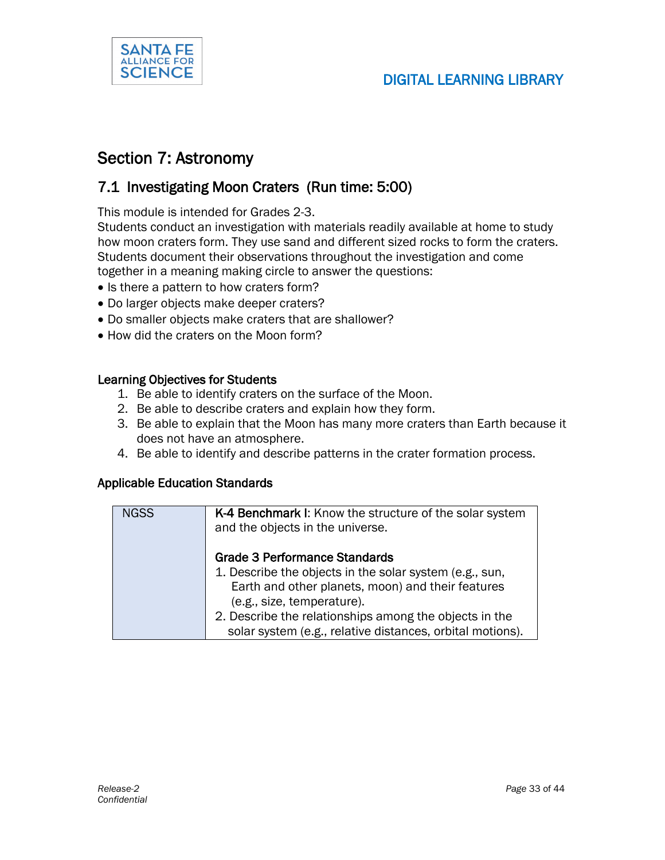

### Section 7: Astronomy

### 7.1 Investigating Moon Craters (Run time: 5:00)

This module is intended for Grades 2-3.

Students conduct an investigation with materials readily available at home to study how moon craters form. They use sand and different sized rocks to form the craters. Students document their observations throughout the investigation and come together in a meaning making circle to answer the questions:

- Is there a pattern to how craters form?
- Do larger objects make deeper craters?
- Do smaller objects make craters that are shallower?
- How did the craters on the Moon form?

#### Learning Objectives for Students

- 1. Be able to identify craters on the surface of the Moon.
- 2. Be able to describe craters and explain how they form.
- 3. Be able to explain that the Moon has many more craters than Earth because it does not have an atmosphere.
- 4. Be able to identify and describe patterns in the crater formation process.

#### Applicable Education Standards

| <b>NGSS</b> | K-4 Benchmark I: Know the structure of the solar system   |
|-------------|-----------------------------------------------------------|
|             | and the objects in the universe.                          |
|             |                                                           |
|             | <b>Grade 3 Performance Standards</b>                      |
|             | 1. Describe the objects in the solar system (e.g., sun,   |
|             | Earth and other planets, moon) and their features         |
|             | (e.g., size, temperature).                                |
|             | 2. Describe the relationships among the objects in the    |
|             | solar system (e.g., relative distances, orbital motions). |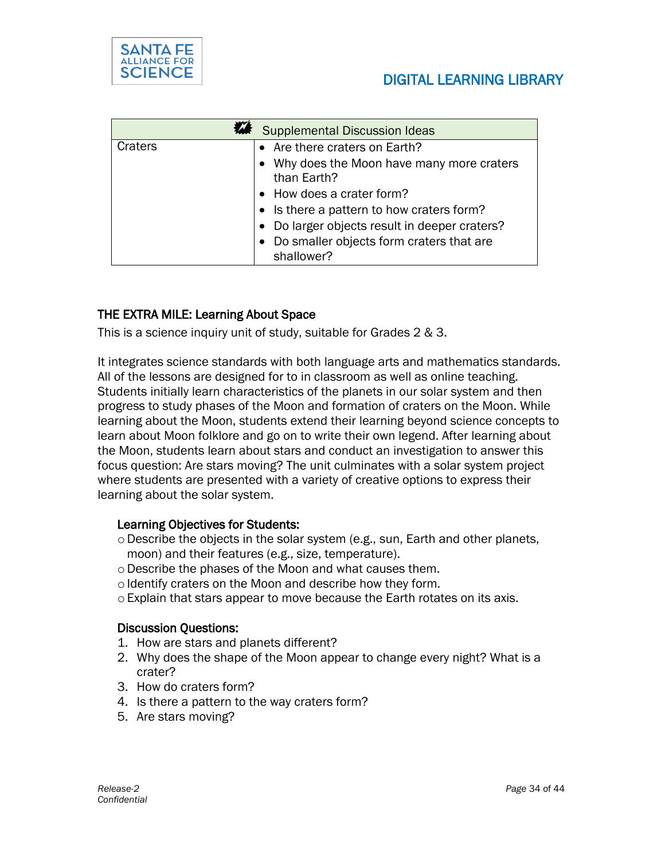

|         | <b>Supplemental Discussion Ideas</b>                     |
|---------|----------------------------------------------------------|
| Craters | • Are there craters on Earth?                            |
|         | Why does the Moon have many more craters<br>than Earth?  |
|         | • How does a crater form?                                |
|         | • Is there a pattern to how craters form?                |
|         | Do larger objects result in deeper craters?              |
|         | • Do smaller objects form craters that are<br>shallower? |

#### THE EXTRA MILE: Learning About Space

This is a science inquiry unit of study, suitable for Grades 2 & 3.

It integrates science standards with both language arts and mathematics standards. All of the lessons are designed for to in classroom as well as online teaching. Students initially learn characteristics of the planets in our solar system and then progress to study phases of the Moon and formation of craters on the Moon. While learning about the Moon, students extend their learning beyond science concepts to learn about Moon folklore and go on to write their own legend. After learning about the Moon, students learn about stars and conduct an investigation to answer this focus question: Are stars moving? The unit culminates with a solar system project where students are presented with a variety of creative options to express their learning about the solar system.

#### Learning Objectives for Students:

- $\circ$  Describe the objects in the solar system (e.g., sun, Earth and other planets, moon) and their features (e.g., size, temperature).
- oDescribe the phases of the Moon and what causes them.
- o Identify craters on the Moon and describe how they form.
- oExplain that stars appear to move because the Earth rotates on its axis.

#### Discussion Questions:

- 1. How are stars and planets different?
- 2. Why does the shape of the Moon appear to change every night? What is a crater?
- 3. How do craters form?
- 4. Is there a pattern to the way craters form?
- 5. Are stars moving?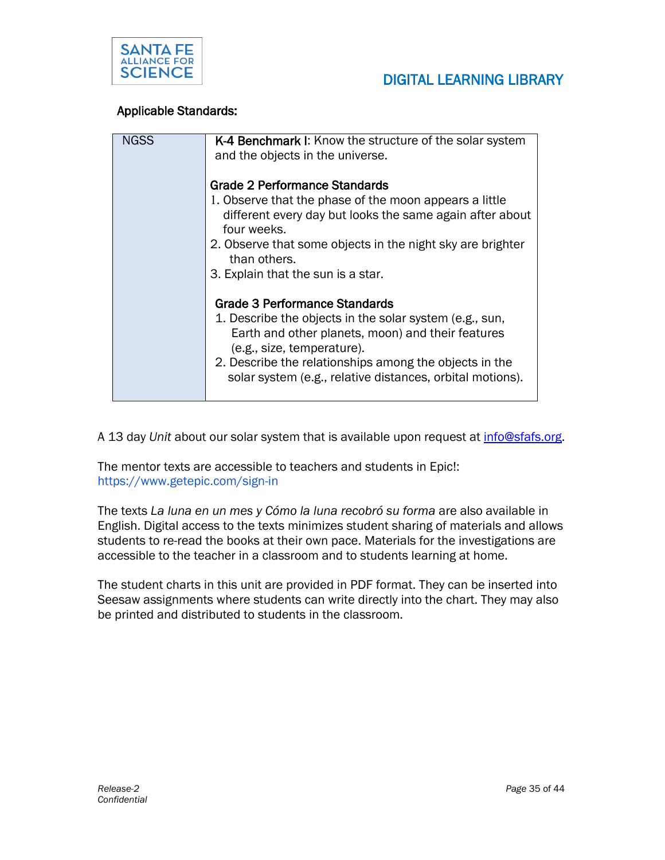



#### Applicable Standards:

| <b>NGSS</b> | K-4 Benchmark I: Know the structure of the solar system                                                                                    |
|-------------|--------------------------------------------------------------------------------------------------------------------------------------------|
|             | and the objects in the universe.                                                                                                           |
|             |                                                                                                                                            |
|             | Grade 2 Performance Standards                                                                                                              |
|             | 1. Observe that the phase of the moon appears a little                                                                                     |
|             | different every day but looks the same again after about<br>four weeks.                                                                    |
|             | 2. Observe that some objects in the night sky are brighter<br>than others.                                                                 |
|             | 3. Explain that the sun is a star.                                                                                                         |
|             | <b>Grade 3 Performance Standards</b>                                                                                                       |
|             | 1. Describe the objects in the solar system (e.g., sun,<br>Earth and other planets, moon) and their features<br>(e.g., size, temperature). |
|             | 2. Describe the relationships among the objects in the<br>solar system (e.g., relative distances, orbital motions).                        |

A 13 day *Unit* about our solar system that is available upon request at [info@sfafs.org.](mailto:info@sfafs.org)

The mentor texts are accessible to teachers and students in Epic!: https://www.getepic.com/sign-in

The texts *La luna en un mes y Cómo la luna recobró su forma* are also available in English. Digital access to the texts minimizes student sharing of materials and allows students to re-read the books at their own pace. Materials for the investigations are accessible to the teacher in a classroom and to students learning at home.

The student charts in this unit are provided in PDF format. They can be inserted into Seesaw assignments where students can write directly into the chart. They may also be printed and distributed to students in the classroom.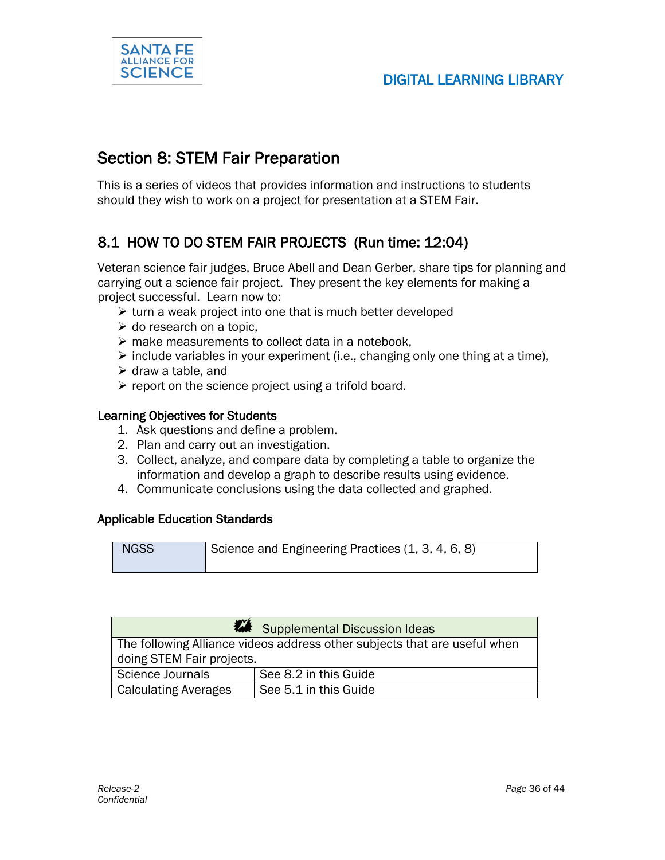

### Section 8: STEM Fair Preparation

This is a series of videos that provides information and instructions to students should they wish to work on a project for presentation at a STEM Fair.

### 8.1 HOW TO DO STEM FAIR PROJECTS (Run time: 12:04)

Veteran science fair judges, Bruce Abell and Dean Gerber, share tips for planning and carrying out a science fair project. They present the key elements for making a project successful. Learn now to:

- $\triangleright$  turn a weak project into one that is much better developed
- $\triangleright$  do research on a topic,
- $\triangleright$  make measurements to collect data in a notebook,
- $\triangleright$  include variables in your experiment (i.e., changing only one thing at a time),
- $\triangleright$  draw a table, and
- $\triangleright$  report on the science project using a trifold board.

#### Learning Objectives for Students

- 1. Ask questions and define a problem.
- 2. Plan and carry out an investigation.
- 3. Collect, analyze, and compare data by completing a table to organize the information and develop a graph to describe results using evidence.
- 4. Communicate conclusions using the data collected and graphed.

#### Applicable Education Standards



|                                                                           | Supplemental Discussion Ideas |  |
|---------------------------------------------------------------------------|-------------------------------|--|
| The following Alliance videos address other subjects that are useful when |                               |  |
| doing STEM Fair projects.                                                 |                               |  |
| Science Journals<br>See 8.2 in this Guide                                 |                               |  |
| Calculating Averages                                                      | See 5.1 in this Guide         |  |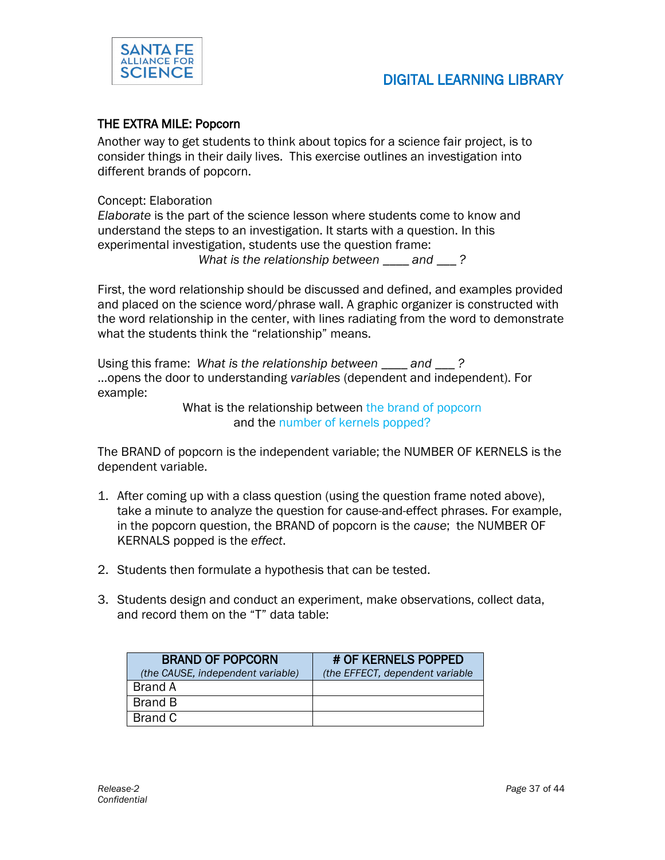

### DIGITAL LEARNING LIBRARY

#### THE EXTRA MILE: Popcorn

Another way to get students to think about topics for a science fair project, is to consider things in their daily lives. This exercise outlines an investigation into different brands of popcorn.

Concept: Elaboration

*Elaborate* is the part of the science lesson where students come to know and understand the steps to an investigation. It starts with a question. In this experimental investigation, students use the question frame: *What is the relationship between \_\_\_\_ and \_\_\_ ?*

First, the word relationship should be discussed and defined, and examples provided and placed on the science word/phrase wall. A graphic organizer is constructed with the word relationship in the center, with lines radiating from the word to demonstrate what the students think the "relationship" means.

Using this frame: *What is the relationship between \_\_\_\_ and \_\_\_ ?* …opens the door to understanding *variables* (dependent and independent). For example:

> What is the relationship between the brand of popcorn and the number of kernels popped?

The BRAND of popcorn is the independent variable; the NUMBER OF KERNELS is the dependent variable.

- 1. After coming up with a class question (using the question frame noted above), take a minute to analyze the question for cause-and-effect phrases. For example, in the popcorn question, the BRAND of popcorn is the *cause*; the NUMBER OF KERNALS popped is the *effect*.
- 2. Students then formulate a hypothesis that can be tested.
- 3. Students design and conduct an experiment, make observations, collect data, and record them on the "T" data table:

| <b>BRAND OF POPCORN</b><br>(the CAUSE, independent variable) | # OF KERNELS POPPED<br>(the EFFECT, dependent variable) |
|--------------------------------------------------------------|---------------------------------------------------------|
| Brand A                                                      |                                                         |
| Brand B                                                      |                                                         |
| Brand C                                                      |                                                         |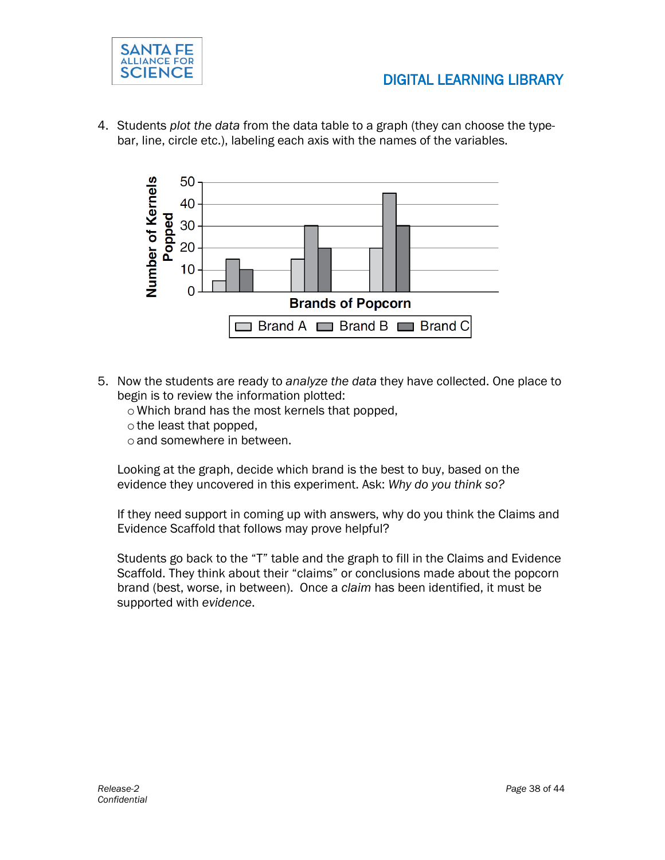

4. Students *plot the data* from the data table to a graph (they can choose the typebar, line, circle etc.), labeling each axis with the names of the variables.



- 5. Now the students are ready to *analyze the data* they have collected. One place to begin is to review the information plotted:
	- o Which brand has the most kernels that popped,
	- o the least that popped,
	- o and somewhere in between.

Looking at the graph, decide which brand is the best to buy, based on the evidence they uncovered in this experiment. Ask: *Why do you think so?*

If they need support in coming up with answers, why do you think the Claims and Evidence Scaffold that follows may prove helpful?

Students go back to the "T" table and the graph to fill in the Claims and Evidence Scaffold. They think about their "claims" or conclusions made about the popcorn brand (best, worse, in between). Once a *claim* has been identified, it must be supported with *evidence*.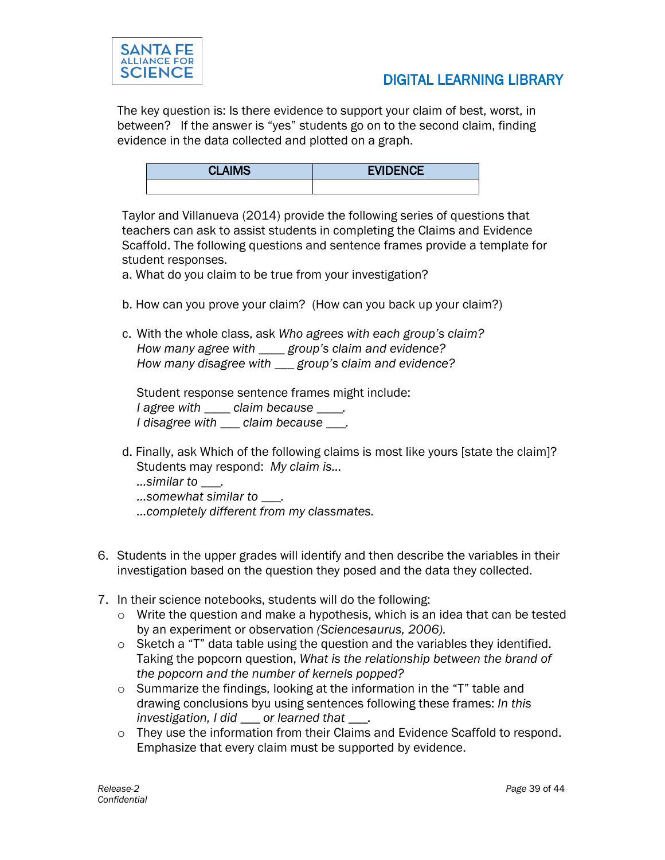

The key question is: Is there evidence to support your claim of best, worst, in between? If the answer is "yes" students go on to the second claim, finding evidence in the data collected and plotted on a graph.

| <b>CLAIMS</b> | <b>EVIDENCE</b> |
|---------------|-----------------|
|               |                 |

Taylor and Villanueva (2014) provide the following series of questions that teachers can ask to assist students in completing the Claims and Evidence Scaffold. The following questions and sentence frames provide a template for student responses.

- a. What do you claim to be true from your investigation?
- b. How can you prove your claim? (How can you back up your claim?)
- c. With the whole class, ask *Who agrees with each group's claim? How many agree with \_\_\_\_ group's claim and evidence? How many disagree with \_\_\_ group's claim and evidence?*

Student response sentence frames might include: *I agree with \_\_\_\_ claim because \_\_\_\_. I disagree with \_\_\_ claim because \_\_\_.*

d. Finally, ask Which of the following claims is most like yours [state the claim]? Students may respond: *My claim is…*

*…similar to \_\_\_.*

- *…somewhat similar to \_\_\_.*
- *…completely different from my classmates.*
- 6. Students in the upper grades will identify and then describe the variables in their investigation based on the question they posed and the data they collected.
- 7. In their science notebooks, students will do the following:
	- o Write the question and make a hypothesis, which is an idea that can be tested by an experiment or observation *(Sciencesaurus, 2006).*
	- $\circ$  Sketch a "T" data table using the question and the variables they identified. Taking the popcorn question, *What is the relationship between the brand of the popcorn and the number of kernels popped?*
	- $\circ$  Summarize the findings, looking at the information in the "T" table and drawing conclusions byu using sentences following these frames: *In this investigation, I did \_\_\_ or learned that \_\_\_.*
	- $\circ$  They use the information from their Claims and Evidence Scaffold to respond. Emphasize that every claim must be supported by evidence.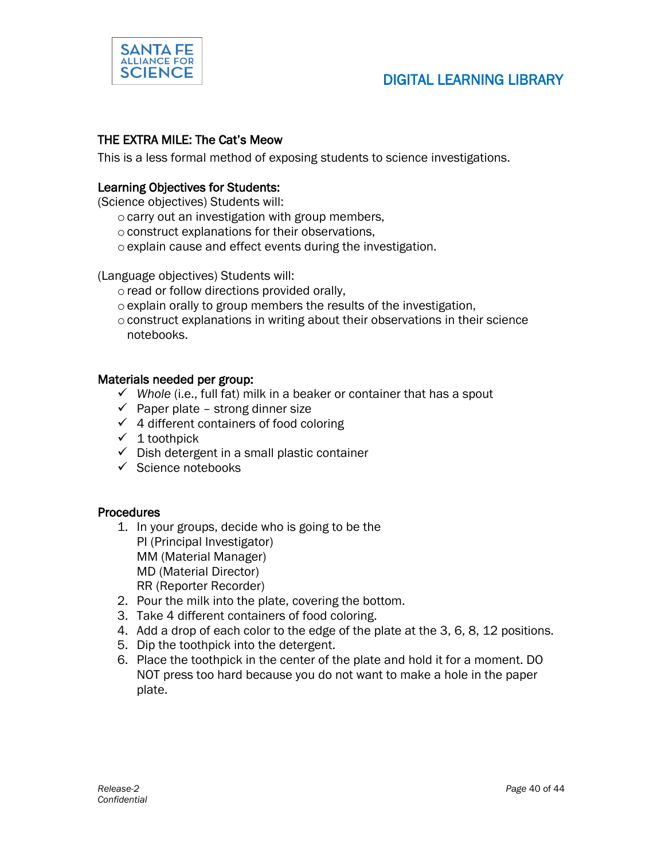

#### THE EXTRA MILE: The Cat's Meow

This is a less formal method of exposing students to science investigations.

#### Learning Objectives for Students:

(Science objectives) Students will:

- $\circ$  carry out an investigation with group members,
- oconstruct explanations for their observations,
- oexplain cause and effect events during the investigation.

(Language objectives) Students will:

- o read or follow directions provided orally,
- $\circ$  explain orally to group members the results of the investigation,
- $\circ$  construct explanations in writing about their observations in their science notebooks.

#### Materials needed per group:

- *Whole* (i.e., full fat) milk in a beaker or container that has a spout
- $\checkmark$  Paper plate strong dinner size
- $\checkmark$  4 different containers of food coloring
- $\checkmark$  1 toothpick
- $\checkmark$  Dish detergent in a small plastic container
- $\checkmark$  Science notebooks

#### **Procedures**

- 1. In your groups, decide who is going to be the PI (Principal Investigator) MM (Material Manager) MD (Material Director) RR (Reporter Recorder)
- 2. Pour the milk into the plate, covering the bottom.
- 3. Take 4 different containers of food coloring.
- 4. Add a drop of each color to the edge of the plate at the 3, 6, 8, 12 positions.
- 5. Dip the toothpick into the detergent.
- 6. Place the toothpick in the center of the plate and hold it for a moment. DO NOT press too hard because you do not want to make a hole in the paper plate.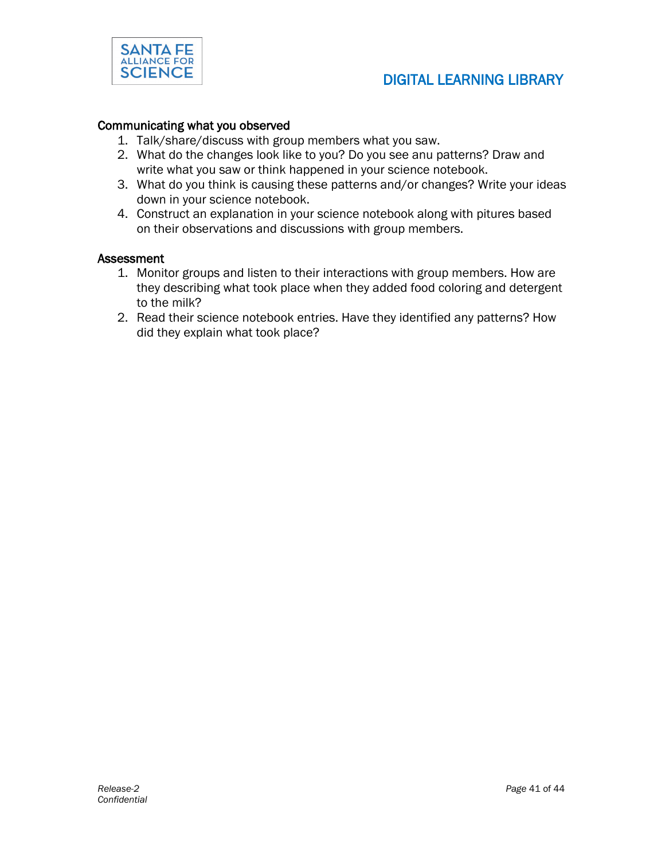

#### Communicating what you observed

- 1. Talk/share/discuss with group members what you saw.
- 2. What do the changes look like to you? Do you see anu patterns? Draw and write what you saw or think happened in your science notebook.
- 3. What do you think is causing these patterns and/or changes? Write your ideas down in your science notebook.
- 4. Construct an explanation in your science notebook along with pitures based on their observations and discussions with group members.

#### Assessment

- 1. Monitor groups and listen to their interactions with group members. How are they describing what took place when they added food coloring and detergent to the milk?
- 2. Read their science notebook entries. Have they identified any patterns? How did they explain what took place?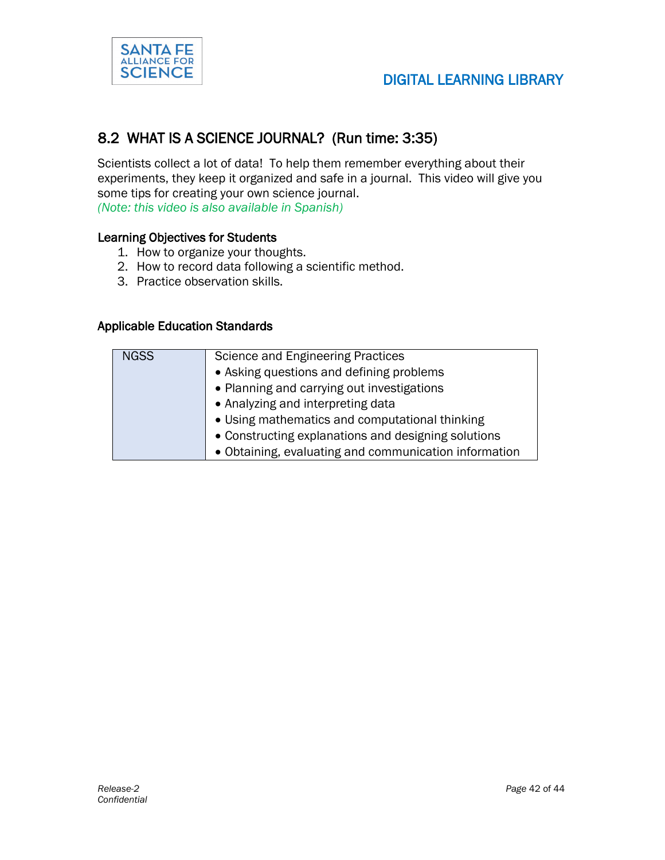

### 8.2 WHAT IS A SCIENCE JOURNAL? (Run time: 3:35)

Scientists collect a lot of data! To help them remember everything about their experiments, they keep it organized and safe in a journal. This video will give you some tips for creating your own science journal.

*(Note: this video is also available in Spanish)*

#### Learning Objectives for Students

- 1. How to organize your thoughts.
- 2. How to record data following a scientific method.
- 3. Practice observation skills.

#### Applicable Education Standards

| <b>NGSS</b> | <b>Science and Engineering Practices</b>              |
|-------------|-------------------------------------------------------|
|             | • Asking questions and defining problems              |
|             | • Planning and carrying out investigations            |
|             | • Analyzing and interpreting data                     |
|             | • Using mathematics and computational thinking        |
|             | • Constructing explanations and designing solutions   |
|             | • Obtaining, evaluating and communication information |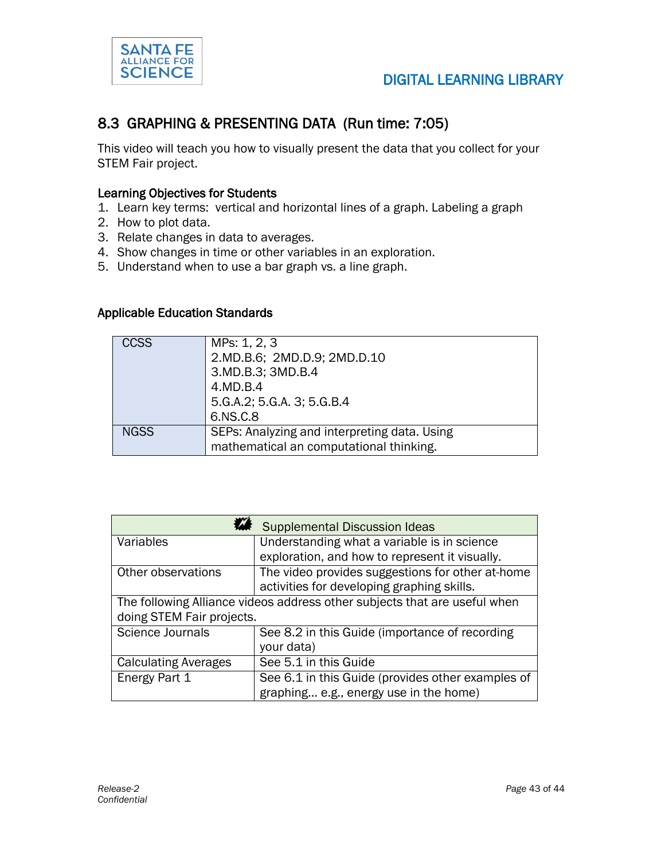

#### 8.3 GRAPHING & PRESENTING DATA (Run time: 7:05)

This video will teach you how to visually present the data that you collect for your STEM Fair project.

#### Learning Objectives for Students

- 1. Learn key terms: vertical and horizontal lines of a graph. Labeling a graph
- 2. How to plot data.
- 3. Relate changes in data to averages.
- 4. Show changes in time or other variables in an exploration.
- 5. Understand when to use a bar graph vs. a line graph.

#### Applicable Education Standards

| <b>CCSS</b> | MPs: 1, 2, 3                                 |  |  |
|-------------|----------------------------------------------|--|--|
|             | 2.MD.B.6; 2MD.D.9; 2MD.D.10                  |  |  |
|             | 3.MD.B.3; 3MD.B.4                            |  |  |
|             | 4.MD.B.4                                     |  |  |
|             | 5.G.A.2; 5.G.A. 3; 5.G.B.4                   |  |  |
|             | 6.NS.C.8                                     |  |  |
| <b>NGSS</b> | SEPs: Analyzing and interpreting data. Using |  |  |
|             | mathematical an computational thinking.      |  |  |

|                                                                           | <b>Supplemental Discussion Ideas</b>              |  |  |  |
|---------------------------------------------------------------------------|---------------------------------------------------|--|--|--|
| Variables                                                                 | Understanding what a variable is in science       |  |  |  |
|                                                                           | exploration, and how to represent it visually.    |  |  |  |
| Other observations                                                        | The video provides suggestions for other at-home  |  |  |  |
|                                                                           | activities for developing graphing skills.        |  |  |  |
| The following Alliance videos address other subjects that are useful when |                                                   |  |  |  |
| doing STEM Fair projects.                                                 |                                                   |  |  |  |
| <b>Science Journals</b>                                                   | See 8.2 in this Guide (importance of recording    |  |  |  |
|                                                                           | your data)                                        |  |  |  |
| <b>Calculating Averages</b>                                               | See 5.1 in this Guide                             |  |  |  |
| Energy Part 1                                                             | See 6.1 in this Guide (provides other examples of |  |  |  |
|                                                                           | graphing e.g., energy use in the home)            |  |  |  |